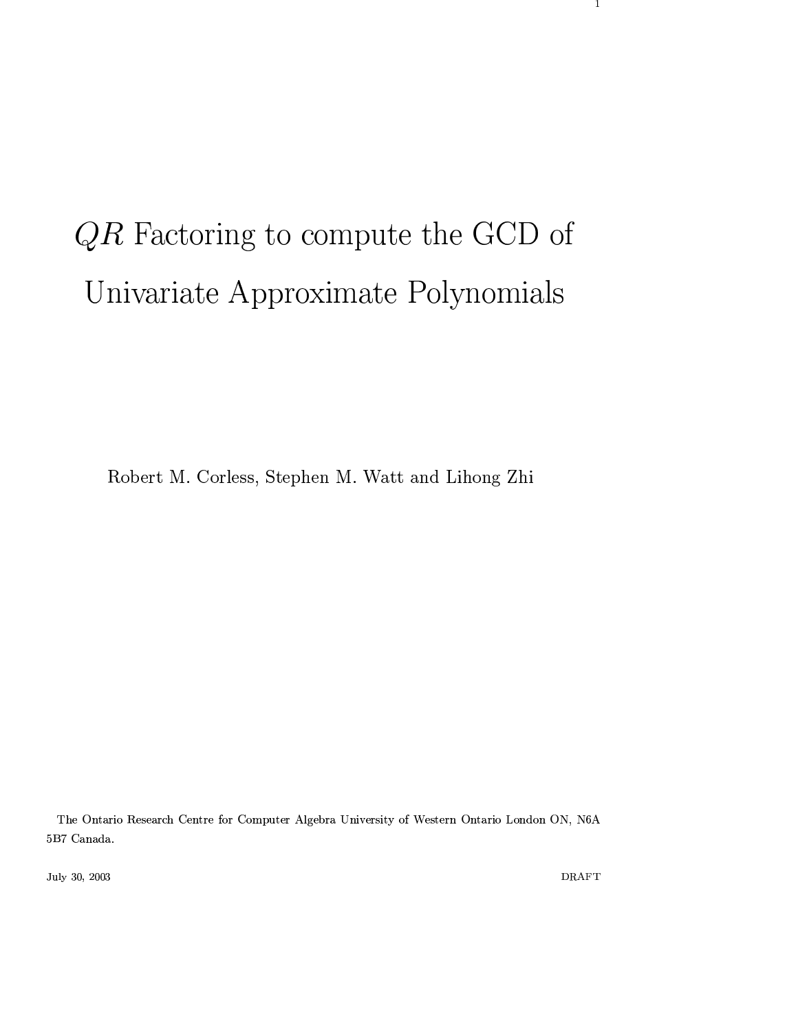# $QR$  Factoring to compute the GCD of Univariate Approximate Polynomials

Robert M. Corless, Stephen M. Watt and Lihong Zhi

The Ontario Research Centre for Computer Algebra University of Western Ontario London ON, N6A  $5\,\mathrm{B}7$  Canada.

July 30, 2003

 $\mathop{\rm DRAFT}\nolimits$ 

 $\mathbf{1}$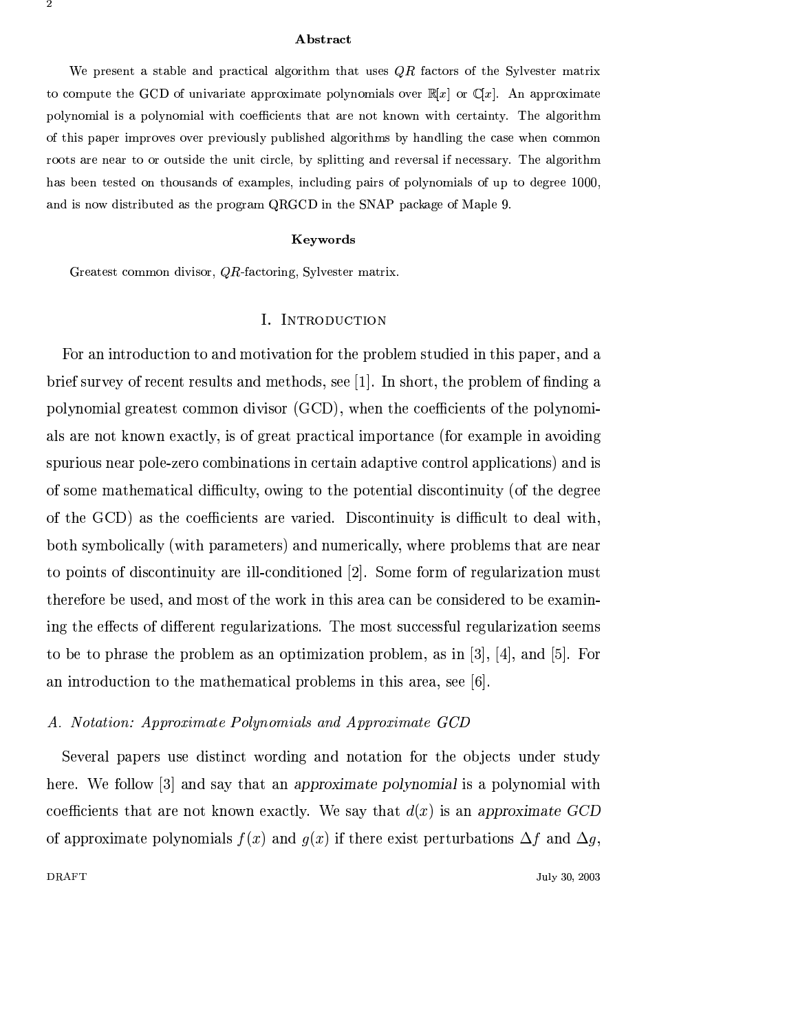#### **Abstract**

We present a stable and practical algorithm that uses  $QR$  factors of the Sylvester matrix to compute the GCD of univariate approximate polynomials over  $\mathbb{R}[x]$  or  $\mathbb{C}[x]$ . An approximate polynomial is a polynomial with coefficients that are not known with certainty. The algorithm of this paper improves over previously published algorithms by handling the case when common roots are near to or outside the unit circle, by splitting and reversal if necessary. The algorithm has been tested on thousands of examples, including pairs of polynomials of up to degree 1000, and is now distributed as the program QRGCD in the SNAP package of Maple 9.

#### Keywords

Greatest common divisor, QR-factoring, Sylvester matrix.

#### I. INTRODUCTION

For an introduction to and motivation for the problem studied in this paper, and a brief survey of recent results and methods, see  $[1]$ . In short, the problem of finding a polynomial greatest common divisor (GCD), when the coefficients of the polynomials are not known exactly, is of great practical importance (for example in avoiding spurious near pole-zero combinations in certain adaptive control applications) and is of some mathematical difficulty, owing to the potential discontinuity (of the degree of the GCD) as the coefficients are varied. Discontinuity is difficult to deal with. both symbolically (with parameters) and numerically, where problems that are near to points of discontinuity are ill-conditioned [2]. Some form of regularization must therefore be used, and most of the work in this area can be considered to be examining the effects of different regularizations. The most successful regularization seems to be to phrase the problem as an optimization problem, as in [3], [4], and [5]. For an introduction to the mathematical problems in this area, see [6].

## A. Notation: Approximate Polynomials and Approximate GCD

Several papers use distinct wording and notation for the objects under study here. We follow [3] and say that an approximate polynomial is a polynomial with coefficients that are not known exactly. We say that  $d(x)$  is an approximate GCD of approximate polynomials  $f(x)$  and  $g(x)$  if there exist perturbations  $\Delta f$  and  $\Delta g$ ,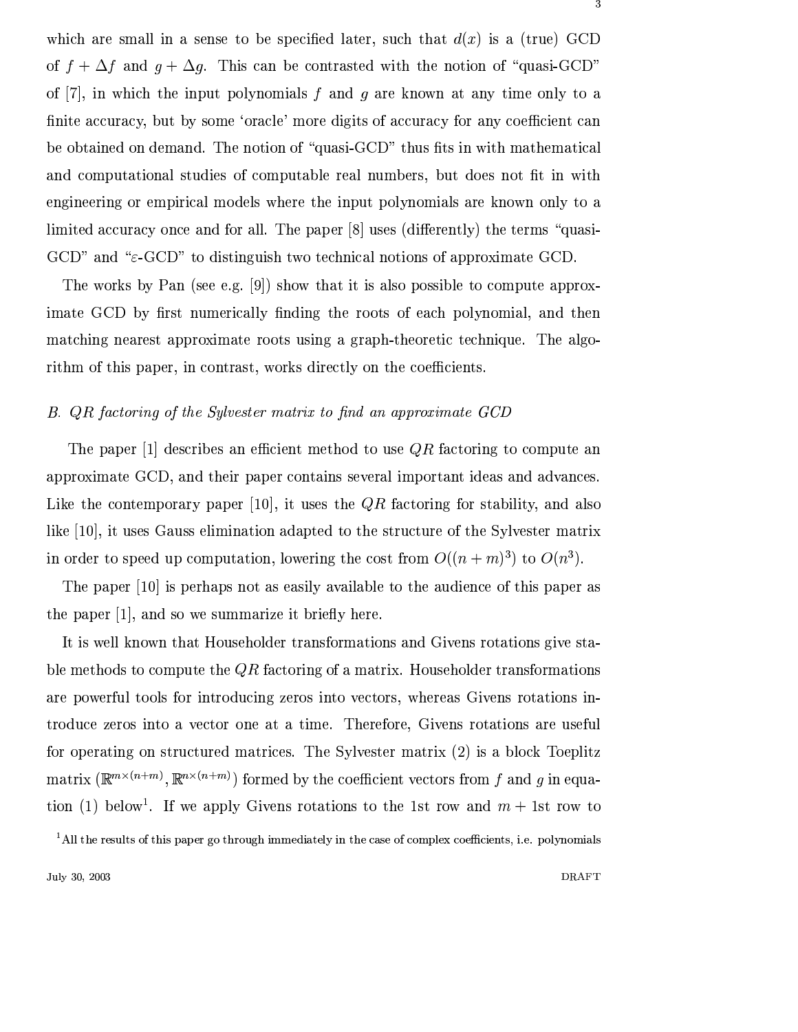which are small in a sense to be specified later, such that  $d(x)$  is a (true) GCD of  $f + \Delta f$  and  $g + \Delta g$ . This can be contrasted with the notion of "quasi-GCD" of [7], in which the input polynomials f and g are known at any time only to a finite accuracy, but by some 'oracle' more digits of accuracy for any coefficient can be obtained on demand. The notion of "quasi-GCD" thus fits in with mathematical and computational studies of computable real numbers, but does not fit in with engineering or empirical models where the input polynomials are known only to a limited accuracy once and for all. The paper [8] uses (differently) the terms "quasi- $GCD$ " and " $\varepsilon$ -GCD" to distinguish two technical notions of approximate GCD.

The works by Pan (see e.g. [9]) show that it is also possible to compute approximate GCD by first numerically finding the roots of each polynomial, and then matching nearest approximate roots using a graph-theoretic technique. The algorithm of this paper, in contrast, works directly on the coefficients.

## B. QR factoring of the Sylvester matrix to find an approximate GCD

The paper [1] describes an efficient method to use  $QR$  factoring to compute an approximate GCD, and their paper contains several important ideas and advances. Like the contemporary paper [10], it uses the  $QR$  factoring for stability, and also like [10], it uses Gauss elimination adapted to the structure of the Sylvester matrix in order to speed up computation, lowering the cost from  $O((n+m)^3)$  to  $O(n^3)$ .

The paper [10] is perhaps not as easily available to the audience of this paper as the paper [1], and so we summarize it briefly here.

It is well known that Householder transformations and Givens rotations give stable methods to compute the  $QR$  factoring of a matrix. Householder transformations are powerful tools for introducing zeros into vectors, whereas Givens rotations introduce zeros into a vector one at a time. Therefore, Givens rotations are useful for operating on structured matrices. The Sylvester matrix (2) is a block Toeplitz matrix  $(\mathbb{R}^{m \times (n+m)}, \mathbb{R}^{n \times (n+m)})$  formed by the coefficient vectors from f and g in equation (1) below<sup>1</sup>. If we apply Givens rotations to the 1st row and  $m + 1$ st row to

<sup>&</sup>lt;sup>1</sup>All the results of this paper go through immediately in the case of complex coefficients, i.e. polynomials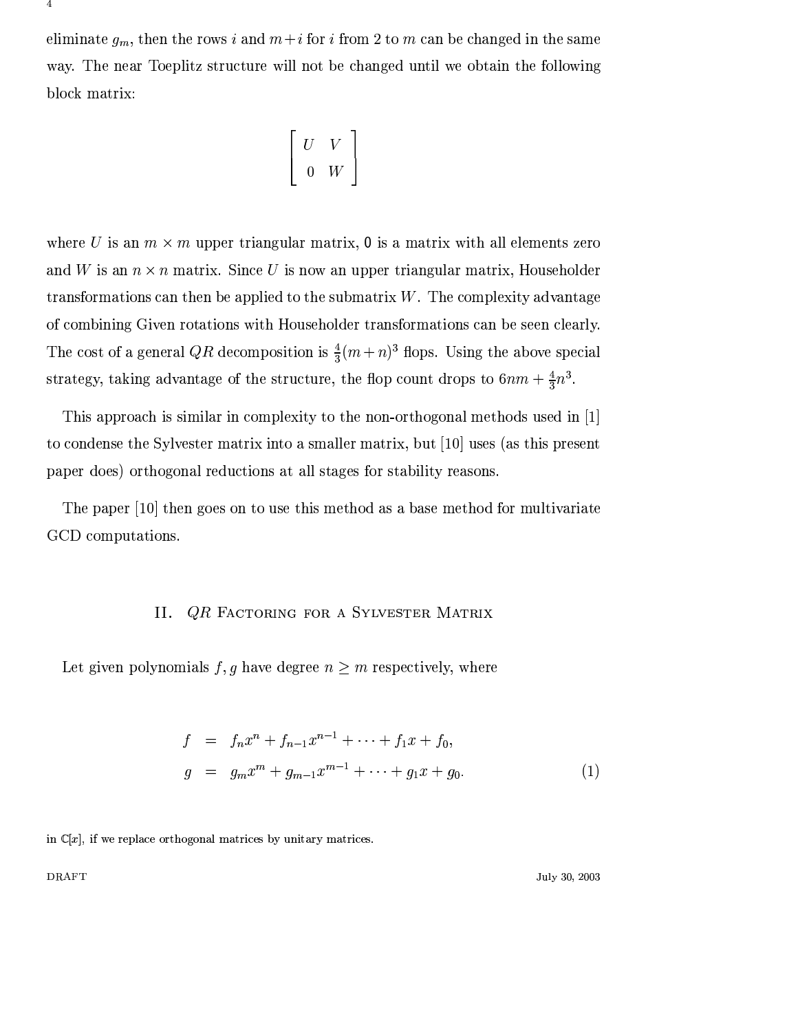eliminate  $g_m$ , then the rows i and  $m+i$  for i from 2 to m can be changed in the same way. The near Toeplitz structure will not be changed until we obtain the following block matrix:

$$
\left[\begin{array}{cc} U & V \\ 0 & W \end{array}\right]
$$

where U is an  $m \times m$  upper triangular matrix, 0 is a matrix with all elements zero and W is an  $n \times n$  matrix. Since U is now an upper triangular matrix, Householder transformations can then be applied to the submatrix  $W$ . The complexity advantage of combining Given rotations with Householder transformations can be seen clearly. The cost of a general QR decomposition is  $\frac{4}{3}(m+n)^3$  flops. Using the above special strategy, taking advantage of the structure, the flop count drops to  $6nm + \frac{4}{3}n^3$ .

This approach is similar in complexity to the non-orthogonal methods used in [1] to condense the Sylvester matrix into a smaller matrix, but [10] uses (as this present paper does) orthogonal reductions at all stages for stability reasons.

The paper  $[10]$  then goes on to use this method as a base method for multivariate GCD computations.

# II. QR FACTORING FOR A SYLVESTER MATRIX

Let given polynomials f, g have degree  $n \geq m$  respectively, where

$$
f = f_n x^n + f_{n-1} x^{n-1} + \dots + f_1 x + f_0,
$$
  
\n
$$
g = g_m x^m + g_{m-1} x^{m-1} + \dots + g_1 x + g_0.
$$
\n(1)

in  $\mathbb{C}[x]$ , if we replace orthogonal matrices by unitary matrices.

**DRAFT** 

July 30, 2003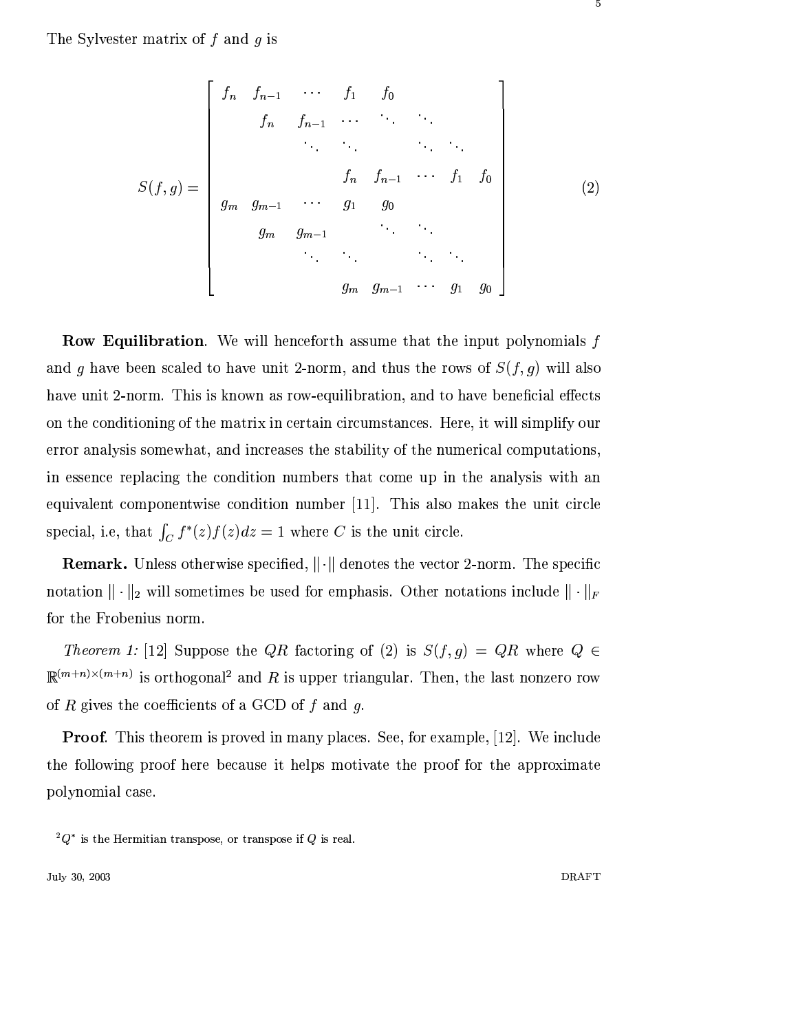The Sylvester matrix of  $f$  and  $g$  is

$$
S(f,g) = \begin{bmatrix} f_n & f_{n-1} & \cdots & f_1 & f_0 \\ f_n & f_{n-1} & \cdots & \cdots & \cdots \\ & & \ddots & \ddots & \ddots \\ & & & f_n & f_{n-1} & \cdots & f_1 & f_0 \\ g_m & g_{m-1} & \cdots & g_1 & g_0 \\ & & & \ddots & \ddots & \ddots \\ & & & & g_m & g_{m-1} & \cdots & g_1 & g_0 \end{bmatrix}
$$
 (2)

**Row Equilibration**. We will henceforth assume that the input polynomials  $f$ and  $g$  have been scaled to have unit 2-norm, and thus the rows of  $S(f,g)$  will also have unit 2-norm. This is known as row-equilibration, and to have beneficial effects on the conditioning of the matrix in certain circumstances. Here, it will simplify our error analysis somewhat, and increases the stability of the numerical computations, in essence replacing the condition numbers that come up in the analysis with an equivalent componentwise condition number [11]. This also makes the unit circle special, i.e, that  $\int_C f^*(z) f(z) dz = 1$  where C is the unit circle.

**Remark.** Unless otherwise specified,  $\|\cdot\|$  denotes the vector 2-norm. The specific notation  $\|\cdot\|_2$  will sometimes be used for emphasis. Other notations include  $\|\cdot\|_F$ for the Frobenius norm.

Theorem 1: [12] Suppose the QR factoring of (2) is  $S(f,g) = QR$  where  $Q \in$  $\mathbb{R}^{(m+n)\times(m+n)}$  is orthogonal<sup>2</sup> and R is upper triangular. Then, the last nonzero row of R gives the coefficients of a GCD of  $f$  and  $g$ .

**Proof.** This theorem is proved in many places. See, for example, [12]. We include the following proof here because it helps motivate the proof for the approximate polynomial case.

July 30, 2003

5

 ${}^2Q^*$  is the Hermitian transpose, or transpose if Q is real.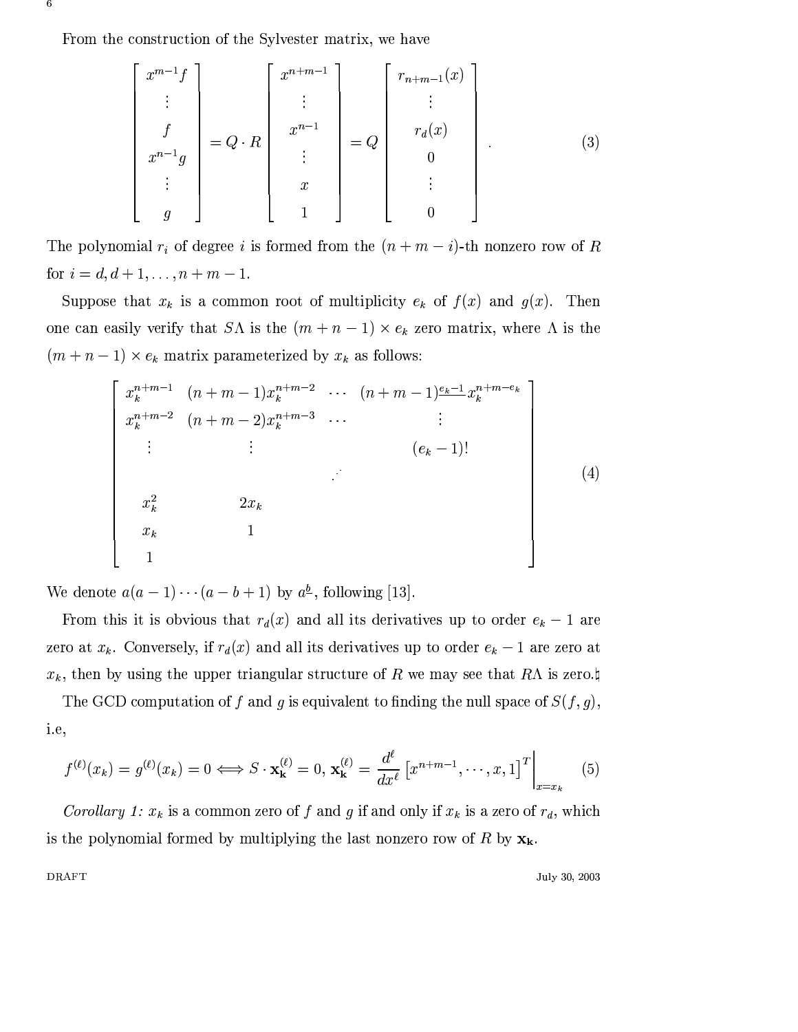From the construction of the Sylvester matrix, we have

6

**DRAFT** 

$$
\begin{bmatrix}\n x^{m-1}f \\
 \vdots \\
 f \\
 x^{n-1}g \\
 \vdots \\
 g\n\end{bmatrix} = Q \cdot R \begin{bmatrix}\n x^{n+m-1} \\
 \vdots \\
 x^{n-1} \\
 \vdots \\
 x \\
 1\n\end{bmatrix} = Q \begin{bmatrix}\n r_{n+m-1}(x) \\
 \vdots \\
 r_d(x) \\
 0 \\
 \vdots \\
 0\n\end{bmatrix} .
$$
\n(3)

The polynomial  $r_i$  of degree i is formed from the  $(n + m - i)$ -th nonzero row of R for  $i = d, d + 1, ..., n + m - 1$ .

Suppose that  $x_k$  is a common root of multiplicity  $e_k$  of  $f(x)$  and  $g(x)$ . Then one can easily verify that  $S\Lambda$  is the  $(m+n-1) \times e_k$  zero matrix, where  $\Lambda$  is the  $(m+n-1) \times e_k$  matrix parameterized by  $x_k$  as follows:

$$
\begin{bmatrix}\nx_k^{n+m-1} & (n+m-1)x_k^{n+m-2} & \cdots & (n+m-1)\frac{e_k-1}{2}x_k^{n+m-e_k} \\
x_k^{n+m-2} & (n+m-2)x_k^{n+m-3} & \cdots & & \vdots \\
\vdots & & \vdots & & \vdots \\
x_k^2 & 2x_k & & \\
x_k & 1 & & \\
1 & & & \n\end{bmatrix}
$$
\n(4)

We denote  $a(a-1)\cdots(a-b+1)$  by  $a^{\underline{b}}$ , following [13].

From this it is obvious that  $r_d(x)$  and all its derivatives up to order  $e_k - 1$  are zero at  $x_k$ . Conversely, if  $r_d(x)$  and all its derivatives up to order  $e_k - 1$  are zero at  $x_k$ , then by using the upper triangular structure of R we may see that RA is zero.

The GCD computation of f and g is equivalent to finding the null space of  $S(f, g)$ , i.e,

$$
f^{(\ell)}(x_k) = g^{(\ell)}(x_k) = 0 \Longleftrightarrow S \cdot \mathbf{x_k}^{(\ell)} = 0, \ \mathbf{x_k}^{(\ell)} = \frac{d^{\ell}}{dx^{\ell}} \left[ x^{n+m-1}, \cdots, x, 1 \right]^T \Big|_{x=x_k} \tag{5}
$$

*Corollary 1:*  $x_k$  is a common zero of f and g if and only if  $x_k$  is a zero of  $r_d$ , which is the polynomial formed by multiplying the last nonzero row of R by  $x_k$ .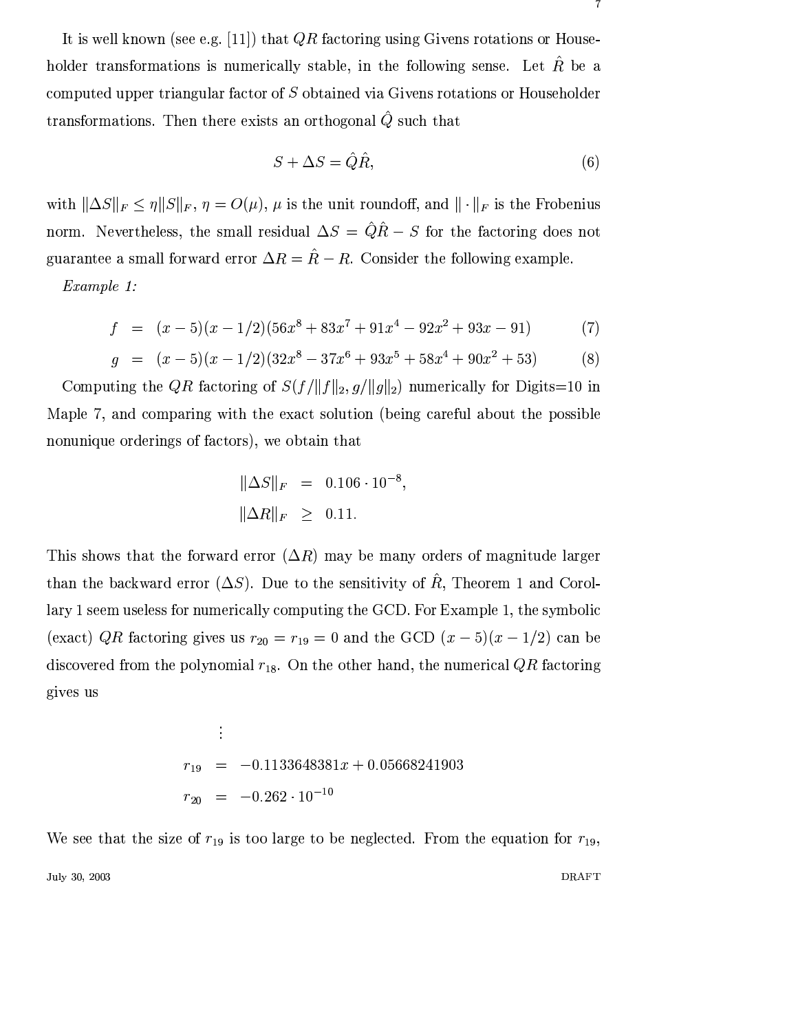It is well known (see e.g. [11]) that  $QR$  factoring using Givens rotations or Householder transformations is numerically stable, in the following sense. Let  $\hat{R}$  be a computed upper triangular factor of  $S$  obtained via Givens rotations or Householder transformations. Then there exists an orthogonal  $\hat{Q}$  such that

$$
S + \Delta S = \hat{Q}\hat{R},\tag{6}
$$

with  $\|\Delta S\|_F \leq \eta \|S\|_F$ ,  $\eta = O(\mu)$ ,  $\mu$  is the unit roundoff, and  $\|\cdot\|_F$  is the Frobenius norm. Nevertheless, the small residual  $\Delta S = \hat{Q}\hat{R} - S$  for the factoring does not guarantee a small forward error  $\Delta R = \hat{R} - R$ . Consider the following example.

Example 1:

$$
f = (x - 5)(x - 1/2)(56x8 + 83x7 + 91x4 - 92x2 + 93x - 91)
$$
 (7)

$$
g = (x - 5)(x - 1/2)(32x8 - 37x6 + 93x5 + 58x4 + 90x2 + 53)
$$
 (8)

Computing the QR factoring of  $S(f/\|f\|_2, g/\|g\|_2)$  numerically for Digits=10 in Maple 7, and comparing with the exact solution (being careful about the possible nonunique orderings of factors), we obtain that

$$
\|\Delta S\|_F = 0.106 \cdot 10^{-8},
$$
  

$$
\|\Delta R\|_F \ge 0.11.
$$

This shows that the forward error  $(\Delta R)$  may be many orders of magnitude larger than the backward error  $(\Delta S)$ . Due to the sensitivity of  $\hat{R}$ , Theorem 1 and Corollary 1 seem useless for numerically computing the GCD. For Example 1, the symbolic (exact) QR factoring gives us  $r_{20} = r_{19} = 0$  and the GCD  $(x - 5)(x - 1/2)$  can be discovered from the polynomial  $r_{18}$ . On the other hand, the numerical QR factoring gives us

$$
\begin{array}{rcl}\n\vdots \\
r_{19} & = & -0.1133648381x + 0.05668241903 \\
r_{20} & = & -0.262 \cdot 10^{-10}\n\end{array}
$$

We see that the size of  $r_{19}$  is too large to be neglected. From the equation for  $r_{19}$ , July 30, 2003 **DRAFT**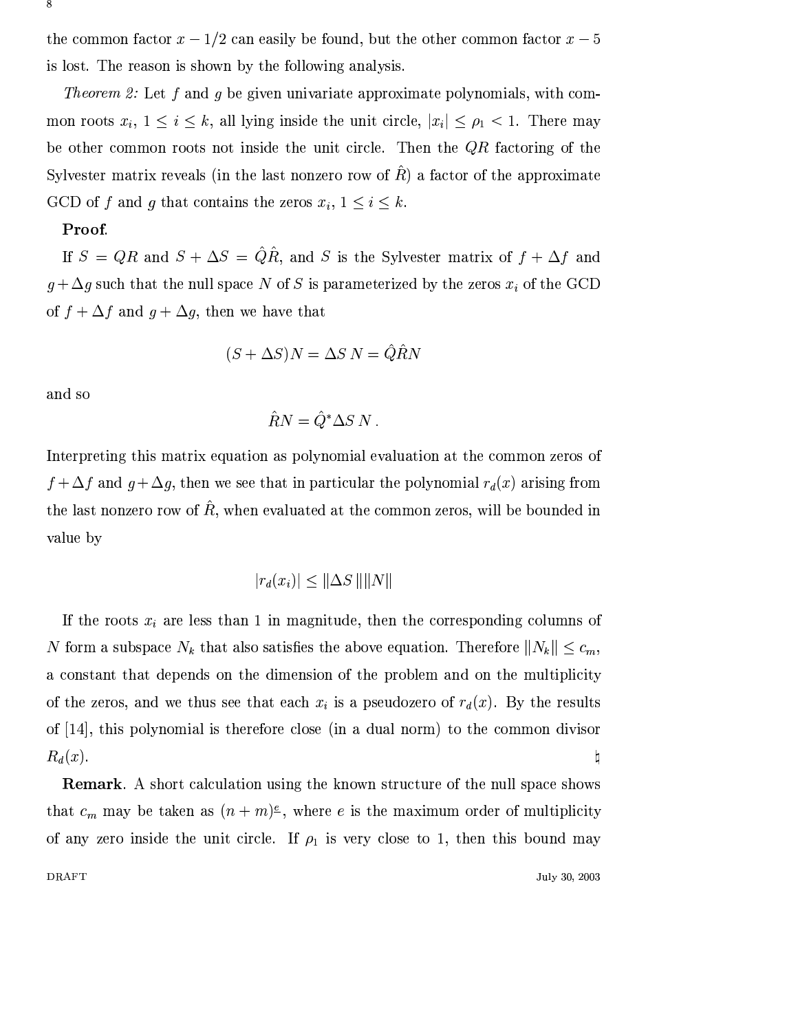the common factor  $x - 1/2$  can easily be found, but the other common factor  $x - 5$ is lost. The reason is shown by the following analysis.

*Theorem 2:* Let f and g be given univariate approximate polynomials, with common roots  $x_i$ ,  $1 \le i \le k$ , all lying inside the unit circle,  $|x_i| \le \rho_1 < 1$ . There may be other common roots not inside the unit circle. Then the  $QR$  factoring of the Sylvester matrix reveals (in the last nonzero row of  $R$ ) a factor of the approximate GCD of f and g that contains the zeros  $x_i$ ,  $1 \leq i \leq k$ .

#### Proof.

If  $S = QR$  and  $S + \Delta S = \hat{Q}\hat{R}$ , and S is the Sylvester matrix of  $f + \Delta f$  and  $g + \Delta g$  such that the null space N of S is parameterized by the zeros  $x_i$  of the GCD of  $f + \Delta f$  and  $g + \Delta g$ , then we have that

$$
(S + \Delta S)N = \Delta S N = \hat{Q}\hat{R}N
$$

and so

$$
\hat{R}N = \hat{Q}^* \Delta S N
$$

Interpreting this matrix equation as polynomial evaluation at the common zeros of  $f + \Delta f$  and  $g + \Delta g$ , then we see that in particular the polynomial  $r_d(x)$  arising from the last nonzero row of  $\hat{R}$ , when evaluated at the common zeros, will be bounded in value by

$$
|r_d(x_i)| \le ||\Delta S|| ||N||
$$

If the roots  $x_i$  are less than 1 in magnitude, then the corresponding columns of N form a subspace  $N_k$  that also satisfies the above equation. Therefore  $||N_k|| \leq c_m$ , a constant that depends on the dimension of the problem and on the multiplicity of the zeros, and we thus see that each  $x_i$  is a pseudozero of  $r_d(x)$ . By the results of [14], this polynomial is therefore close (in a dual norm) to the common divisor  $\mathsf{h}$  $R_d(x)$ .

**Remark.** A short calculation using the known structure of the null space shows that  $c_m$  may be taken as  $(n+m)^{\epsilon}$ , where e is the maximum order of multiplicity of any zero inside the unit circle. If  $\rho_1$  is very close to 1, then this bound may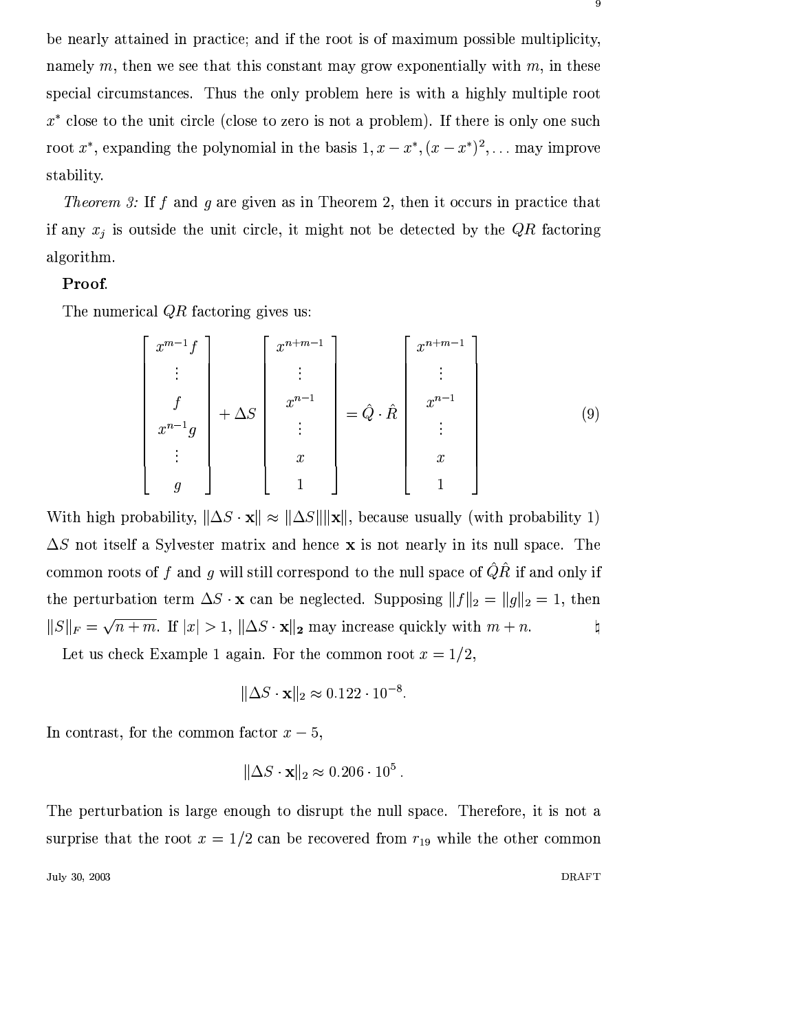be nearly attained in practice; and if the root is of maximum possible multiplicity, namely m, then we see that this constant may grow exponentially with m, in these special circumstances. Thus the only problem here is with a highly multiple root  $x^*$  close to the unit circle (close to zero is not a problem). If there is only one such root  $x^*$ , expanding the polynomial in the basis  $1, x - x^*$ ,  $(x - x^*)^2$ , ... may improve stability.

*Theorem 3:* If f and g are given as in Theorem 2, then it occurs in practice that if any  $x_j$  is outside the unit circle, it might not be detected by the  $QR$  factoring algorithm.

#### Proof.

The numerical  $QR$  factoring gives us:

$$
\begin{bmatrix}\n x^{m-1}f \\
 \vdots \\
 f \\
 x^{n-1}g \\
 \vdots \\
 g\n\end{bmatrix} + \Delta S \begin{bmatrix}\n x^{n+m-1} \\
 \vdots \\
 x^{n-1} \\
 \vdots \\
 x \\
 1\n\end{bmatrix} = \hat{Q} \cdot \hat{R} \begin{bmatrix}\n x^{n+m-1} \\
 \vdots \\
 x^{n-1} \\
 \vdots \\
 x \\
 1\n\end{bmatrix}
$$
\n(9)

With high probability,  $\|\Delta S \cdot \mathbf{x}\| \approx \|\Delta S\| \|\mathbf{x}\|$ , because usually (with probability 1)  $\Delta S$  not itself a Sylvester matrix and hence **x** is not nearly in its null space. The common roots of  $f$  and  $g$  will still correspond to the null space of  $\hat{Q}\hat{R}$  if and only if the perturbation term  $\Delta S \cdot \mathbf{x}$  can be neglected. Supposing  $||f||_2 = ||g||_2 = 1$ , then  $||S||_F = \sqrt{n+m}$ . If  $|x| > 1$ ,  $||\Delta S \cdot \mathbf{x}||_2$  may increase quickly with  $m+n$ .  $\natural$ 

Let us check Example 1 again. For the common root  $x = 1/2$ .

$$
\|\Delta S \cdot \mathbf{x}\|_2 \approx 0.122 \cdot 10^{-8}
$$

In contrast, for the common factor  $x-5$ ,

$$
\|\Delta S \cdot \mathbf{x}\|_2 \approx 0.206 \cdot 10^5
$$

The perturbation is large enough to disrupt the null space. Therefore, it is not a surprise that the root  $x = 1/2$  can be recovered from  $r_{19}$  while the other common

July 30, 2003 **DRAFT**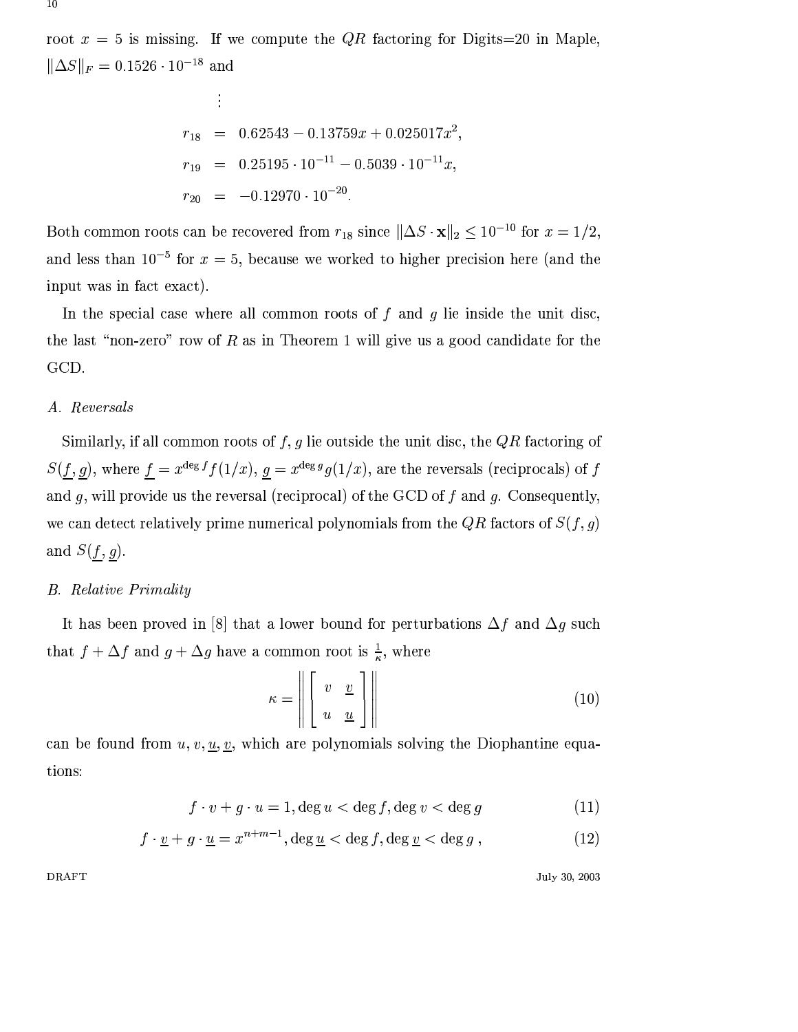root  $x = 5$  is missing. If we compute the QR factoring for Digits=20 in Maple,  $\|\Delta S\|_F = 0.1526 \cdot 10^{-18}$  and

$$
r_{18} = 0.62543 - 0.13759x + 0.025017x^{2},
$$
  
\n
$$
r_{19} = 0.25195 \cdot 10^{-11} - 0.5039 \cdot 10^{-11}x,
$$
  
\n
$$
r_{20} = -0.12970 \cdot 10^{-20}.
$$

Both common roots can be recovered from  $r_{18}$  since  $\|\Delta S \cdot \mathbf{x}\|_2 \leq 10^{-10}$  for  $x = 1/2$ , and less than  $10^{-5}$  for  $x=5$ , because we worked to higher precision here (and the input was in fact exact).

In the special case where all common roots of  $f$  and  $g$  lie inside the unit disc, the last "non-zero" row of  $R$  as in Theorem 1 will give us a good candidate for the GCD.

# A. Reversals

Similarly, if all common roots of  $f, g$  lie outside the unit disc, the  $QR$  factoring of  $S(\underline{f}, \underline{g})$ , where  $\underline{f} = x^{\deg f} f(1/x)$ ,  $\underline{g} = x^{\deg g} g(1/x)$ , are the reversals (reciprocals) of f and  $g$ , will provide us the reversal (reciprocal) of the GCD of  $f$  and  $g$ . Consequently, we can detect relatively prime numerical polynomials from the QR factors of  $S(f, g)$ and  $S(\underline{f}, \underline{g})$ .

# **B.** Relative Primality

It has been proved in [8] that a lower bound for perturbations  $\Delta f$  and  $\Delta g$  such that  $f + \Delta f$  and  $g + \Delta g$  have a common root is  $\frac{1}{\kappa}$ , where

$$
\kappa = \left\| \left[ \begin{array}{cc} v & \underline{v} \\ u & \underline{u} \end{array} \right] \right\| \tag{10}
$$

can be found from  $u, v, \underline{u}, \underline{v}$ , which are polynomials solving the Diophantine equations:

$$
f \cdot v + g \cdot u = 1, \deg u < \deg f, \deg v < \deg g \tag{11}
$$

$$
f \cdot \underline{v} + g \cdot \underline{u} = x^{n+m-1}, \deg \underline{u} < \deg f, \deg \underline{v} < \deg g \,, \tag{12}
$$

**DRAFT** 

July 30, 2003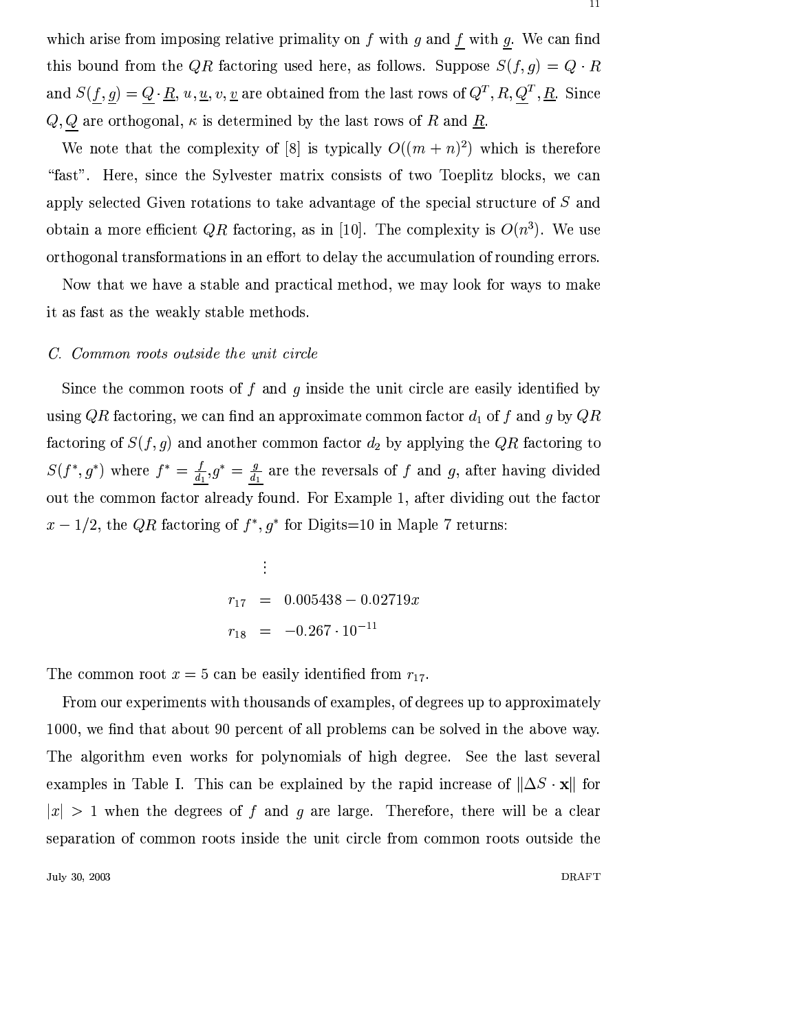which arise from imposing relative primality on  $f$  with  $g$  and  $f$  with  $g$ . We can find this bound from the QR factoring used here, as follows. Suppose  $S(f, g) = Q \cdot R$ and  $S(\underline{f}, \underline{g}) = \underline{Q} \cdot \underline{R}$ ,  $u, \underline{u}, v, \underline{v}$  are obtained from the last rows of  $Q^T, R, \underline{Q}^T, \underline{R}$ . Since  $Q, \underline{Q}$  are orthogonal,  $\kappa$  is determined by the last rows of  $R$  and  $\underline{R}$ 

We note that the complexity of [8] is typically  $O((m+n)^2)$  which is therefore "fast". Here, since the Sylvester matrix consists of two Toeplitz blocks, we can apply selected Given rotations to take advantage of the special structure of  $S$  and obtain a more efficient QR factoring, as in [10]. The complexity is  $O(n^3)$ . We use orthogonal transformations in an effort to delay the accumulation of rounding errors.

Now that we have a stable and practical method, we may look for ways to make it as fast as the weakly stable methods.

#### C. Common roots outside the unit circle

Since the common roots of f and q inside the unit circle are easily identified by using QR factoring, we can find an approximate common factor  $d_1$  of f and g by QR factoring of  $S(f, g)$  and another common factor  $d_2$  by applying the QR factoring to  $S(f^*, g^*)$  where  $f^* = \frac{f}{d_1} g^* = \frac{g}{d_1}$  are the reversals of f and g, after having divided out the common factor already found. For Example 1, after dividing out the factor  $x-1/2$ , the QR factoring of  $f^*$ ,  $g^*$  for Digits=10 in Maple 7 returns:

$$
r_{17} = 0.005438 - 0.02719x
$$
  

$$
r_{18} = -0.267 \cdot 10^{-11}
$$

The common root  $x = 5$  can be easily identified from  $r_{17}$ .

From our experiments with thousands of examples, of degrees up to approximately 1000, we find that about 90 percent of all problems can be solved in the above way. The algorithm even works for polynomials of high degree. See the last several examples in Table I. This can be explained by the rapid increase of  $\|\Delta S \cdot \mathbf{x}\|$  for  $|x| > 1$  when the degrees of f and g are large. Therefore, there will be a clear separation of common roots inside the unit circle from common roots outside the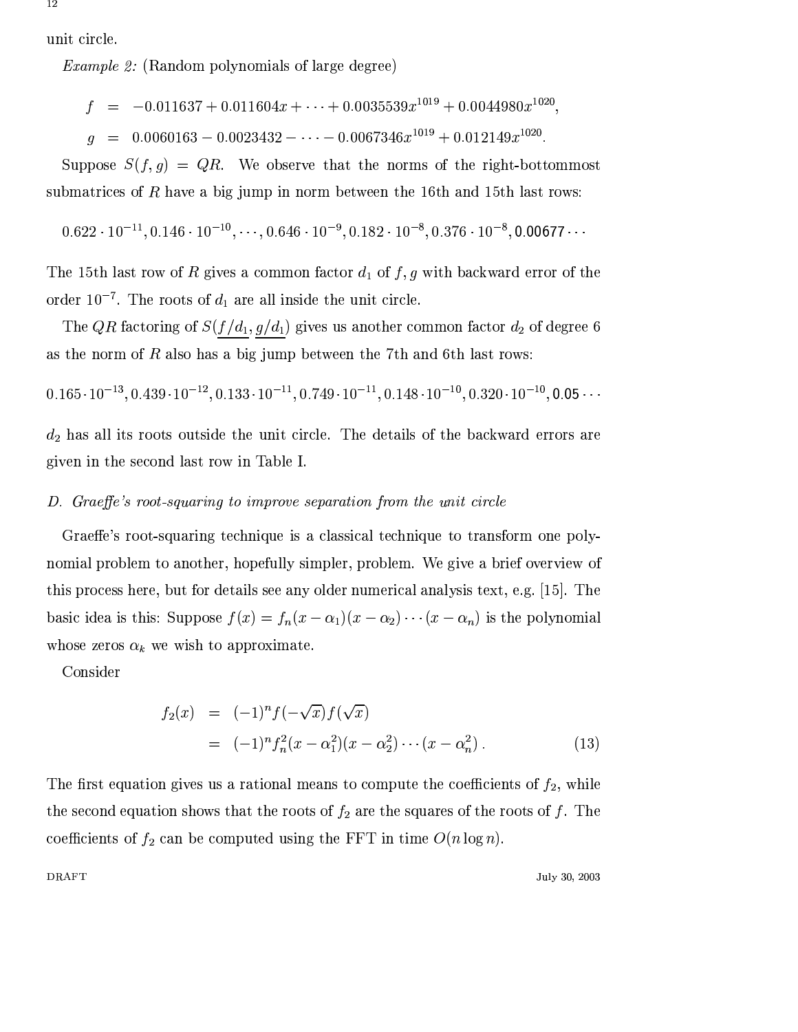unit circle.

*Example 2:* (Random polynomials of large degree)

$$
f = -0.011637 + 0.011604x + \cdots + 0.0035539x^{1019} + 0.0044980x^{1020},
$$

$$
q = 0.0060163 - 0.0023432 - \cdots - 0.0067346x^{1019} + 0.012149x^{1020}
$$

Suppose  $S(f,g) = QR$ . We observe that the norms of the right-bottommost submatrices of  $R$  have a big jump in norm between the 16th and 15th last rows:

$$
0.622\cdot 10^{-11}, 0.146\cdot 10^{-10}, \cdots, 0.646\cdot 10^{-9}, 0.182\cdot 10^{-8}, 0.376\cdot 10^{-8}, \textbf{0.00677}\cdots
$$

The 15th last row of R gives a common factor  $d_1$  of  $f, g$  with backward error of the order  $10^{-7}$ . The roots of  $d_1$  are all inside the unit circle.

The QR factoring of  $S(f/d_1, g/d_1)$  gives us another common factor  $d_2$  of degree 6 as the norm of  $R$  also has a big jump between the 7th and 6th last rows:

$$
0.165\cdot 10^{-13}, 0.439\cdot 10^{-12}, 0.133\cdot 10^{-11}, 0.749\cdot 10^{-11}, 0.148\cdot 10^{-10}, 0.320\cdot 10^{-10}, 0.05\cdot\cdot
$$

 $d_2$  has all its roots outside the unit circle. The details of the backward errors are given in the second last row in Table I.

#### D. Graeffe's root-squaring to improve separation from the unit circle

Graeffe's root-squaring technique is a classical technique to transform one polynomial problem to another, hopefully simpler, problem. We give a brief overview of this process here, but for details see any older numerical analysis text, e.g. [15]. The basic idea is this: Suppose  $f(x) = f_n(x - \alpha_1)(x - \alpha_2) \cdots (x - \alpha_n)$  is the polynomial whose zeros  $\alpha_k$  we wish to approximate.

Consider

$$
f_2(x) = (-1)^n f(-\sqrt{x}) f(\sqrt{x})
$$
  
= (-1)^n f\_n^2 (x - \alpha\_1^2) (x - \alpha\_2^2) \cdots (x - \alpha\_n^2). (13)

The first equation gives us a rational means to compute the coefficients of  $f_2$ , while the second equation shows that the roots of  $f_2$  are the squares of the roots of f. The coefficients of  $f_2$  can be computed using the FFT in time  $O(n \log n)$ .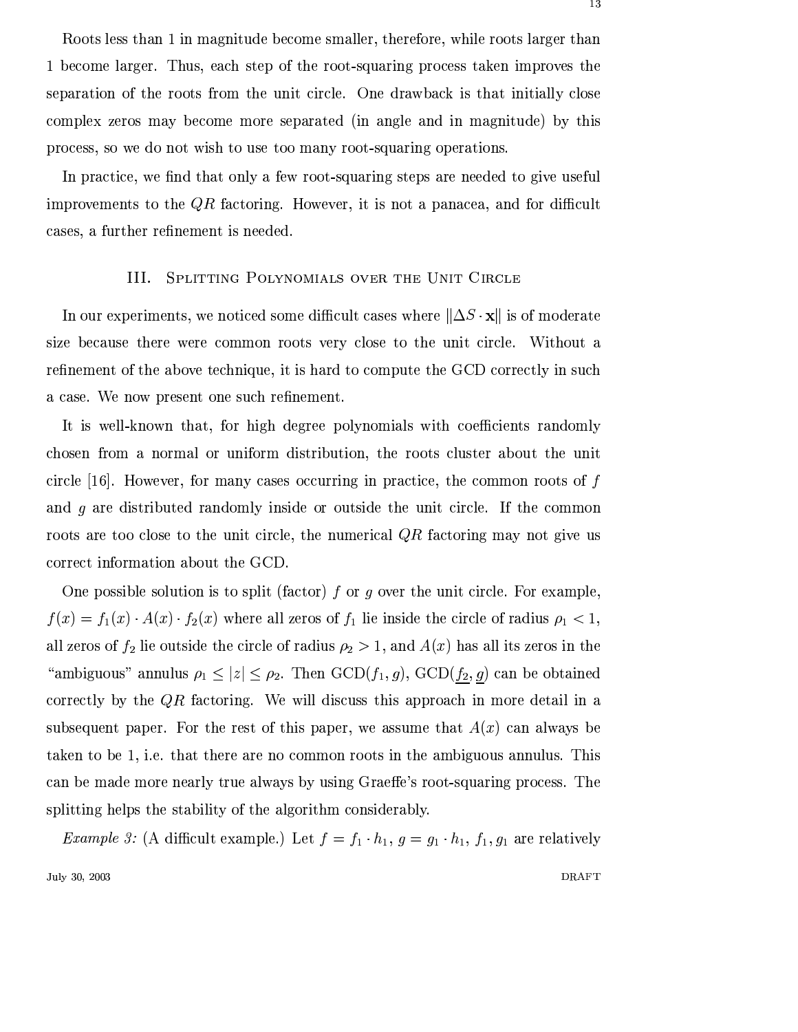Roots less than 1 in magnitude become smaller, therefore, while roots larger than 1 become larger. Thus, each step of the root-squaring process taken improves the separation of the roots from the unit circle. One drawback is that initially close complex zeros may become more separated (in angle and in magnitude) by this process, so we do not wish to use too many root-squaring operations.

In practice, we find that only a few root-squaring steps are needed to give useful improvements to the  $QR$  factoring. However, it is not a panacea, and for difficult cases, a further refinement is needed.

#### III. SPLITTING POLYNOMIALS OVER THE UNIT CIRCLE

In our experiments, we noticed some difficult cases where  $\|\Delta S \cdot \mathbf{x}\|$  is of moderate size because there were common roots very close to the unit circle. Without a refinement of the above technique, it is hard to compute the GCD correctly in such a case. We now present one such refinement.

It is well-known that, for high degree polynomials with coefficients randomly chosen from a normal or uniform distribution, the roots cluster about the unit circle [16]. However, for many cases occurring in practice, the common roots of  $f$ and  $q$  are distributed randomly inside or outside the unit circle. If the common roots are too close to the unit circle, the numerical  $QR$  factoring may not give us correct information about the GCD.

One possible solution is to split (factor) f or q over the unit circle. For example,  $f(x) = f_1(x) \cdot A(x) \cdot f_2(x)$  where all zeros of  $f_1$  lie inside the circle of radius  $\rho_1 < 1$ , all zeros of  $f_2$  lie outside the circle of radius  $\rho_2 > 1$ , and  $A(x)$  has all its zeros in the "ambiguous" annulus  $\rho_1 \leq |z| \leq \rho_2$ . Then  $GCD(f_1, g)$ ,  $GCD(\underline{f_2}, g)$  can be obtained correctly by the  $QR$  factoring. We will discuss this approach in more detail in a subsequent paper. For the rest of this paper, we assume that  $A(x)$  can always be taken to be 1, i.e. that there are no common roots in the ambiguous annulus. This can be made more nearly true always by using Graeffe's root-squaring process. The splitting helps the stability of the algorithm considerably.

*Example 3:* (A difficult example.) Let  $f = f_1 \cdot h_1$ ,  $g = g_1 \cdot h_1$ ,  $f_1, g_1$  are relatively July 30, 2003 **DRAFT**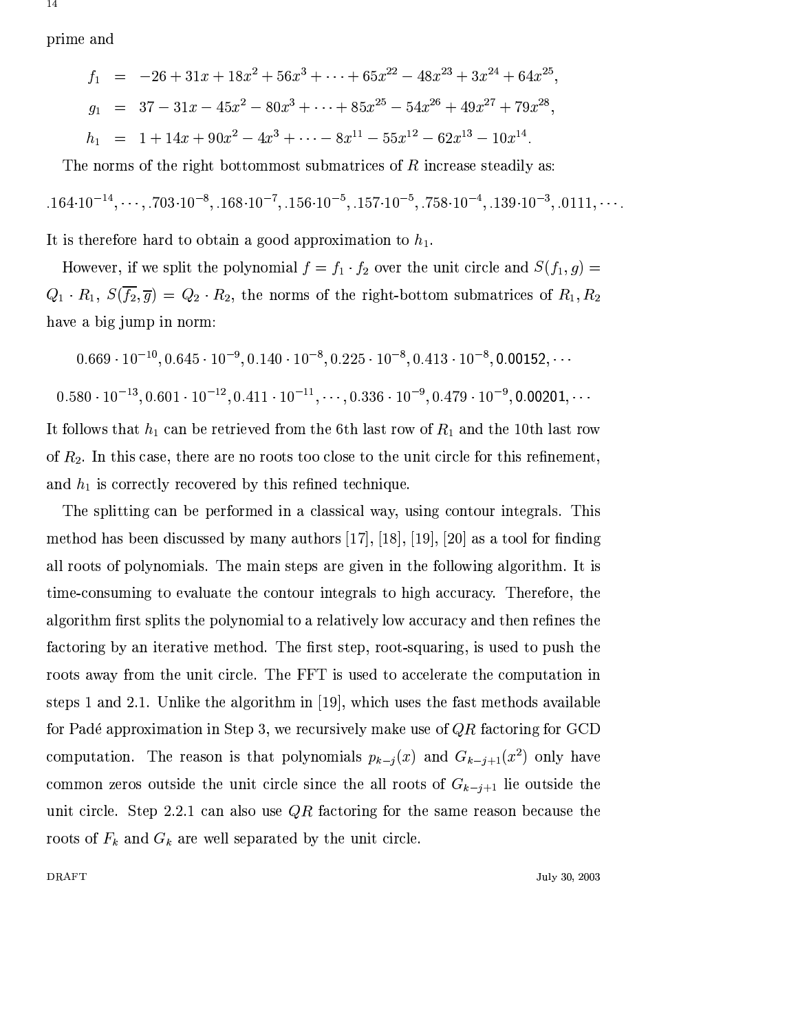prime and

**DRAFT** 

$$
f_1 = -26 + 31x + 18x^2 + 56x^3 + \dots + 65x^{22} - 48x^{23} + 3x^{24} + 64x^{25},
$$
  
\n
$$
g_1 = 37 - 31x - 45x^2 - 80x^3 + \dots + 85x^{25} - 54x^{26} + 49x^{27} + 79x^{28},
$$
  
\n
$$
h_1 = 1 + 14x + 90x^2 - 4x^3 + \dots - 8x^{11} - 55x^{12} - 62x^{13} - 10x^{14}.
$$

The norms of the right bottommost submatrices of  $R$  increase steadily as:

$$
.164 \cdot 10^{-14}, \cdots, .703 \cdot 10^{-8}, .168 \cdot 10^{-7}, .156 \cdot 10^{-5}, .157 \cdot 10^{-5}, .758 \cdot 10^{-4}, .139 \cdot 10^{-3}, .0111, \cdots
$$

It is therefore hard to obtain a good approximation to  $h_1$ .

However, if we split the polynomial  $f = f_1 \cdot f_2$  over the unit circle and  $S(f_1, g)$  $Q_1 \cdot R_1$ ,  $S(\overline{f_2}, \overline{g}) = Q_2 \cdot R_2$ , the norms of the right-bottom submatrices of  $R_1, R_2$ have a big jump in norm:

$$
0.669 \cdot 10^{-10}, 0.645 \cdot 10^{-9}, 0.140 \cdot 10^{-8}, 0.225 \cdot 10^{-8}, 0.413 \cdot 10^{-8}, 0.00152, \cdots
$$

$$
0.580 \cdot 10^{-13}, 0.601 \cdot 10^{-12}, 0.411 \cdot 10^{-11}, \cdots, 0.336 \cdot 10^{-9}, 0.479 \cdot 10^{-9}, 0.00201, \cdots
$$

It follows that  $h_1$  can be retrieved from the 6th last row of  $R_1$  and the 10th last row of  $R_2$ . In this case, there are no roots too close to the unit circle for this refinement, and  $h_1$  is correctly recovered by this refined technique.

The splitting can be performed in a classical way, using contour integrals. This method has been discussed by many authors [17], [18], [19], [20] as a tool for finding all roots of polynomials. The main steps are given in the following algorithm. It is time-consuming to evaluate the contour integrals to high accuracy. Therefore, the algorithm first splits the polynomial to a relatively low accuracy and then refines the factoring by an iterative method. The first step, root-squaring, is used to push the roots away from the unit circle. The FFT is used to accelerate the computation in steps 1 and 2.1. Unlike the algorithm in [19], which uses the fast methods available for Padé approximation in Step 3, we recursively make use of  $QR$  factoring for GCD computation. The reason is that polynomials  $p_{k-j}(x)$  and  $G_{k-j+1}(x^2)$  only have common zeros outside the unit circle since the all roots of  $G_{k-j+1}$  lie outside the unit circle. Step 2.2.1 can also use  $QR$  factoring for the same reason because the roots of  $F_k$  and  $G_k$  are well separated by the unit circle.

July 30, 2003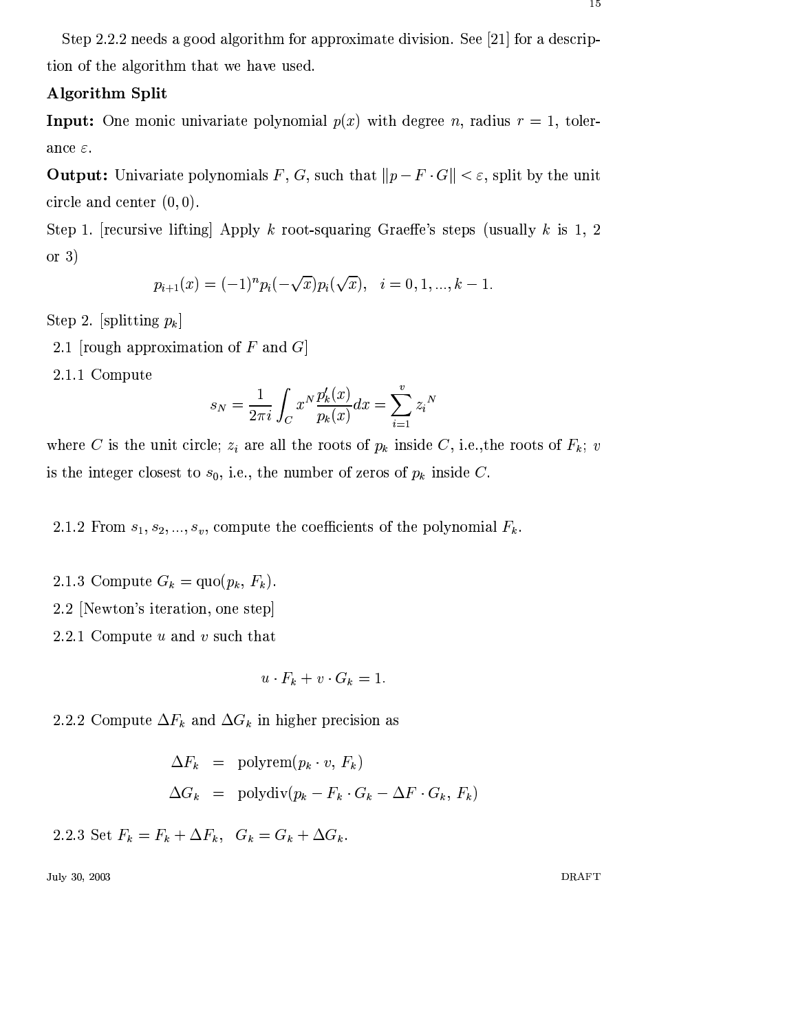# **Algorithm Split**

**Input:** One monic univariate polynomial  $p(x)$  with degree n, radius  $r = 1$ , tolerance  $\varepsilon$ .

**Output:** Univariate polynomials F, G, such that  $||p - F \cdot G|| < \varepsilon$ , split by the unit circle and center  $(0, 0)$ .

Step 1. [recursive lifting] Apply k root-squaring Graeffe's steps (usually k is 1, 2) or  $3)$ 

$$
p_{i+1}(x) = (-1)^n p_i(-\sqrt{x}) p_i(\sqrt{x}), \quad i = 0, 1, ..., k-1.
$$

Step 2. [splitting  $p_k$ ]

- 2.1 [rough approximation of  $F$  and  $G$ ]
- 2.1.1 Compute

$$
s_N = \frac{1}{2\pi i} \int_C x^N \frac{p'_k(x)}{p_k(x)} dx = \sum_{i=1}^v z_i^N
$$

where C is the unit circle;  $z_i$  are all the roots of  $p_k$  inside C, i.e., the roots of  $F_k$ ; v is the integer closest to  $s_0$ , i.e., the number of zeros of  $p_k$  inside C.

2.1.2 From  $s_1, s_2, ..., s_v$ , compute the coefficients of the polynomial  $F_k$ .

- 2.1.3 Compute  $G_k = \text{quo}(p_k, F_k)$ .
- 2.2 [Newton's iteration, one step]
- 2.2.1 Compute  $u$  and  $v$  such that

$$
u \cdot F_k + v \cdot G_k = 1.
$$

2.2.2 Compute  $\Delta F_k$  and  $\Delta G_k$  in higher precision as

$$
\Delta F_k = \text{polyrem}(p_k \cdot v, F_k)
$$
  

$$
\Delta G_k = \text{polydiv}(p_k - F_k \cdot G_k - \Delta F \cdot G_k, F_k)
$$

2.2.3 Set  $F_k = F_k + \Delta F_k$ ,  $G_k = G_k + \Delta G_k$ .

July 30, 2003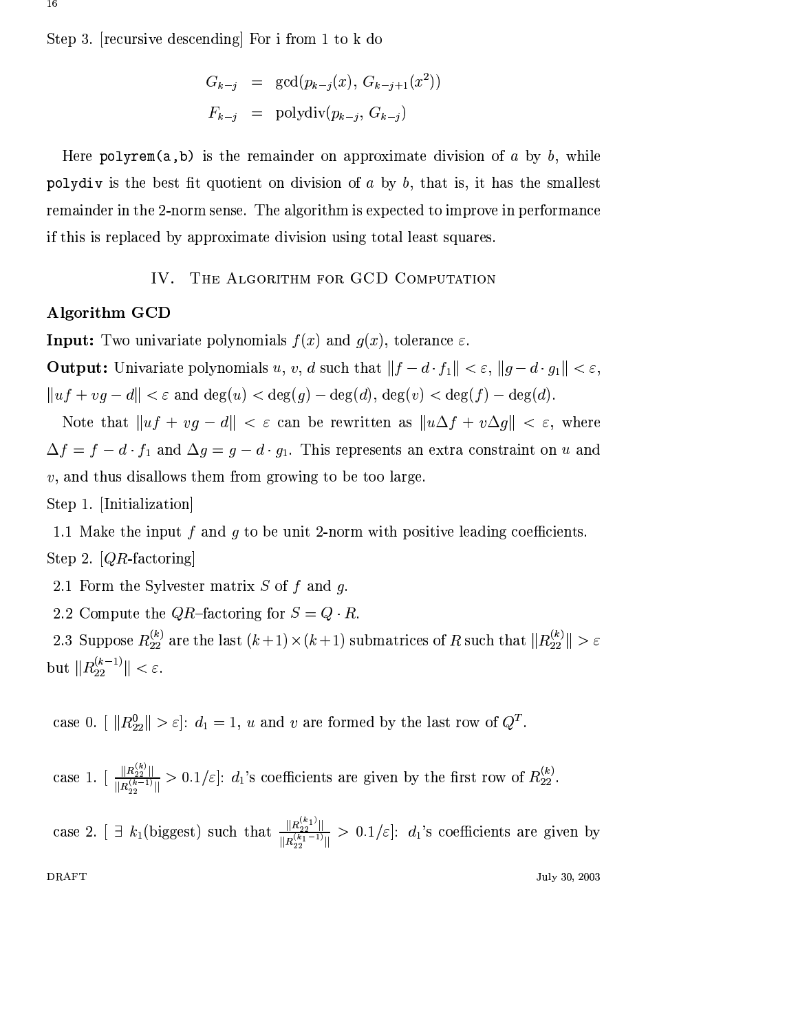Step 3. [recursive descending] For i from 1 to k do

$$
G_{k-j} = \gcd(p_{k-j}(x), G_{k-j+1}(x^2))
$$
  

$$
F_{k-j} = \text{polydiv}(p_{k-j}, G_{k-j})
$$

Here polyrem(a,b) is the remainder on approximate division of a by b, while polydiv is the best fit quotient on division of  $a$  by  $b$ , that is, it has the smallest remainder in the 2-norm sense. The algorithm is expected to improve in performance if this is replaced by approximate division using total least squares.

#### THE ALGORITHM FOR GCD COMPUTATION IV.

## Algorithm GCD

**Input:** Two univariate polynomials  $f(x)$  and  $g(x)$ , tolerance  $\varepsilon$ .

**Output:** Univariate polynomials u, v, d such that  $||f - d \cdot f_1|| < \varepsilon$ ,  $||g - d \cdot g_1|| < \varepsilon$ ,  $||uf + vg - d|| < \varepsilon$  and  $deg(u) < deg(g) - deg(d)$ ,  $deg(v) < deg(f) - deg(d)$ .

Note that  $||uf + vg - d|| < \varepsilon$  can be rewritten as  $||u\Delta f + v\Delta g|| < \varepsilon$ , where  $\Delta f = f - d \cdot f_1$  and  $\Delta g = g - d \cdot g_1$ . This represents an extra constraint on u and  $v$ , and thus disallows them from growing to be too large.

Step 1. [Initialization]

1.1 Make the input f and q to be unit 2-norm with positive leading coefficients. Step 2.  $[QR\text{-}factoring]$ 

2.1 Form the Sylvester matrix  $S$  of  $f$  and  $g$ .

2.2 Compute the *QR*-factoring for  $S = Q \cdot R$ .

2.3 Suppose  $R_{22}^{(k)}$  are the last  $(k+1) \times (k+1)$  submatrices of R such that  $||R_{22}^{(k)}|| > \varepsilon$ but  $||R_{22}^{(k-1)}|| < \varepsilon$ .

case 0.  $\left|\right| |R_{22}^0|| > \varepsilon$ :  $d_1 = 1$ , u and v are formed by the last row of  $Q^T$ .

case 1. 
$$
\left[\frac{\|R_{22}^{(k)}\|}{\|R_{22}^{(k-1)}\|} > 0.1/\varepsilon\right]: d_1
$$
's coefficients are given by the first row of  $R_{22}^{(k)}$ .

case 2.  $\left[\right] \exists k_1$  (biggest) such that  $\frac{\|R_{22}^{(k_1)}\|}{\|R_{22}^{(k_1-1)}\|} > 0.1/\varepsilon$ :  $d_1$ 's coefficients are given by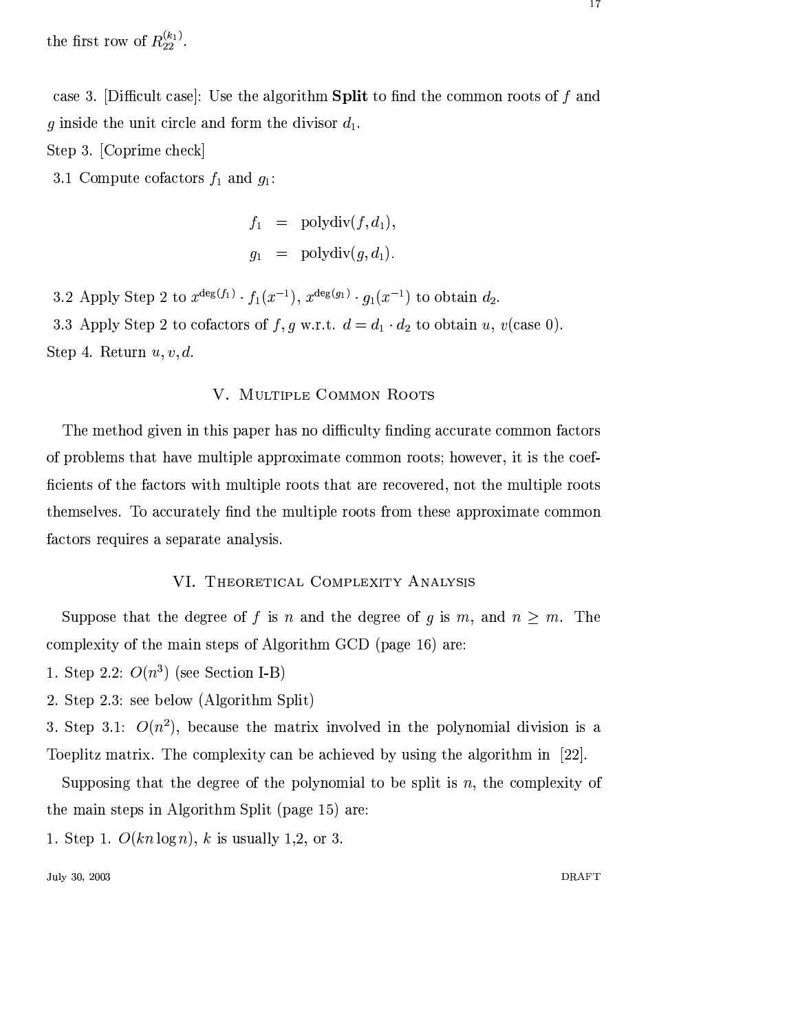the first row of  $R_{22}^{(k_1)}$ .

case 3. [Difficult case]: Use the algorithm **Split** to find the common roots of  $f$  and g inside the unit circle and form the divisor  $d_1$ .

Step 3. [Coprime check]

3.1 Compute cofactors  $f_1$  and  $g_1$ :

$$
f_1 = \text{polydiv}(f, d_1),
$$
  

$$
g_1 = \text{polydiv}(g, d_1).
$$

3.2 Apply Step 2 to  $x^{\deg(f_1)} \cdot f_1(x^{-1}), x^{\deg(g_1)} \cdot g_1(x^{-1})$  to obtain  $d_2$ . 3.3 Apply Step 2 to cofactors of f, g w.r.t.  $d = d_1 \cdot d_2$  to obtain u, v(case 0). Step 4. Return  $u, v, d$ .

## V. MULTIPLE COMMON ROOTS

The method given in this paper has no difficulty finding accurate common factors of problems that have multiple approximate common roots; however, it is the coefficients of the factors with multiple roots that are recovered, not the multiple roots themselves. To accurately find the multiple roots from these approximate common factors requires a separate analysis.

#### VI. THEORETICAL COMPLEXITY ANALYSIS

Suppose that the degree of f is n and the degree of g is m, and  $n \geq m$ . The complexity of the main steps of Algorithm GCD (page 16) are:

- 1. Step 2.2:  $O(n^3)$  (see Section I-B)
- 2. Step 2.3: see below (Algorithm Split)

3. Step 3.1:  $O(n^2)$ , because the matrix involved in the polynomial division is a Toeplitz matrix. The complexity can be achieved by using the algorithm in [22].

Supposing that the degree of the polynomial to be split is n, the complexity of the main steps in Algorithm Split (page 15) are:

1. Step 1.  $O(kn \log n)$ , k is usually 1,2, or 3.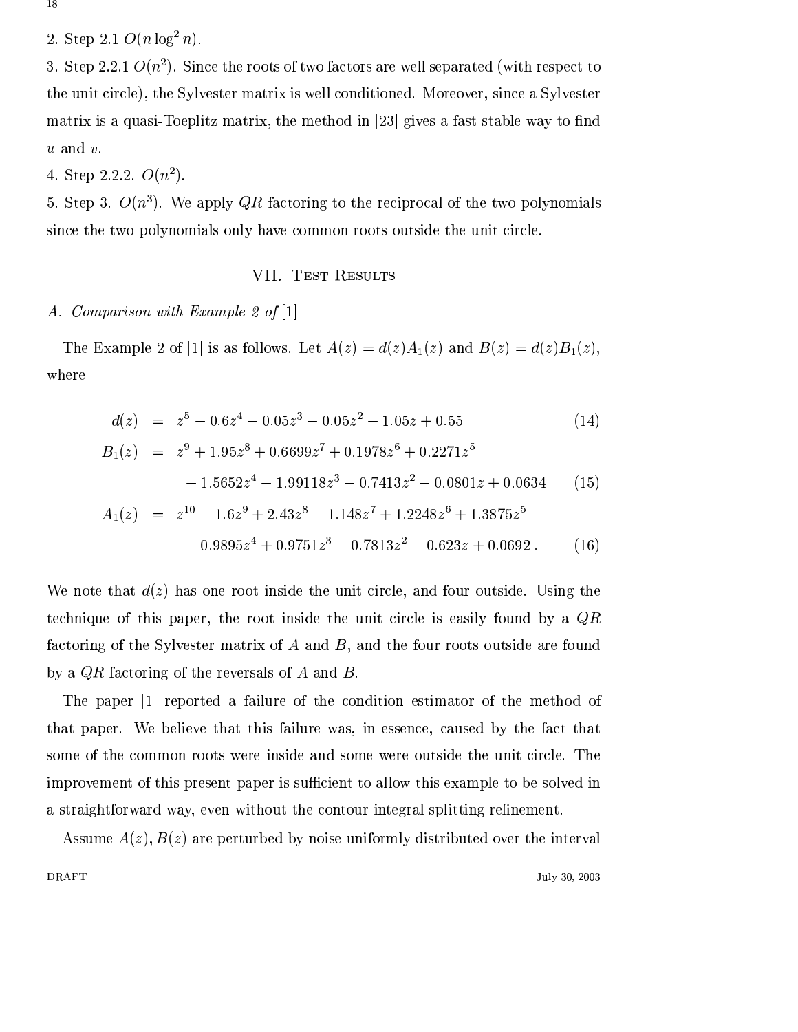18

2. Step 2.1  $O(n \log^2 n)$ .

3. Step 2.2.1  $O(n^2)$ . Since the roots of two factors are well separated (with respect to the unit circle), the Sylvester matrix is well conditioned. Moreover, since a Sylvester matrix is a quasi-Toeplitz matrix, the method in [23] gives a fast stable way to find  $u$  and  $v$ .

# 4. Step 2.2.2.  $O(n^2)$ .

5. Step 3.  $O(n^3)$ . We apply QR factoring to the reciprocal of the two polynomials since the two polynomials only have common roots outside the unit circle.

#### VII. TEST RESULTS

# A. Comparison with Example 2 of [1]

The Example 2 of [1] is as follows. Let  $A(z) = d(z)A_1(z)$  and  $B(z) = d(z)B_1(z)$ , where

$$
d(z) = z5 - 0.6z4 - 0.05z3 - 0.05z2 - 1.05z + 0.55
$$
 (14)

$$
B_1(z) = z^9 + 1.95z^8 + 0.6699z^7 + 0.1978z^6 + 0.2271z^5
$$
  
- 1.5652z<sup>4</sup> - 1.99118z<sup>3</sup> - 0.7413z<sup>2</sup> - 0.0801z + 0.0634 (15)  

$$
A(z) = z^{10} - 1.6z^9 + 2.42z^8 - 1.148z^7 + 1.2248z^6 + 1.2875z^5
$$

$$
A_1(z) = z^{10} - 1.6z^9 + 2.43z^6 - 1.148z^7 + 1.2248z^6 + 1.3875z^8
$$
  
- 0.9895z<sup>4</sup> + 0.9751z<sup>3</sup> - 0.7813z<sup>2</sup> - 0.623z + 0.0692. (16)

We note that  $d(z)$  has one root inside the unit circle, and four outside. Using the technique of this paper, the root inside the unit circle is easily found by a  $QR$ factoring of the Sylvester matrix of  $A$  and  $B$ , and the four roots outside are found by a  $QR$  factoring of the reversals of A and B.

The paper [1] reported a failure of the condition estimator of the method of that paper. We believe that this failure was, in essence, caused by the fact that some of the common roots were inside and some were outside the unit circle. The improvement of this present paper is sufficient to allow this example to be solved in a straightforward way, even without the contour integral splitting refinement.

Assume  $A(z)$ ,  $B(z)$  are perturbed by noise uniformly distributed over the interval **DRAFT** July 30, 2003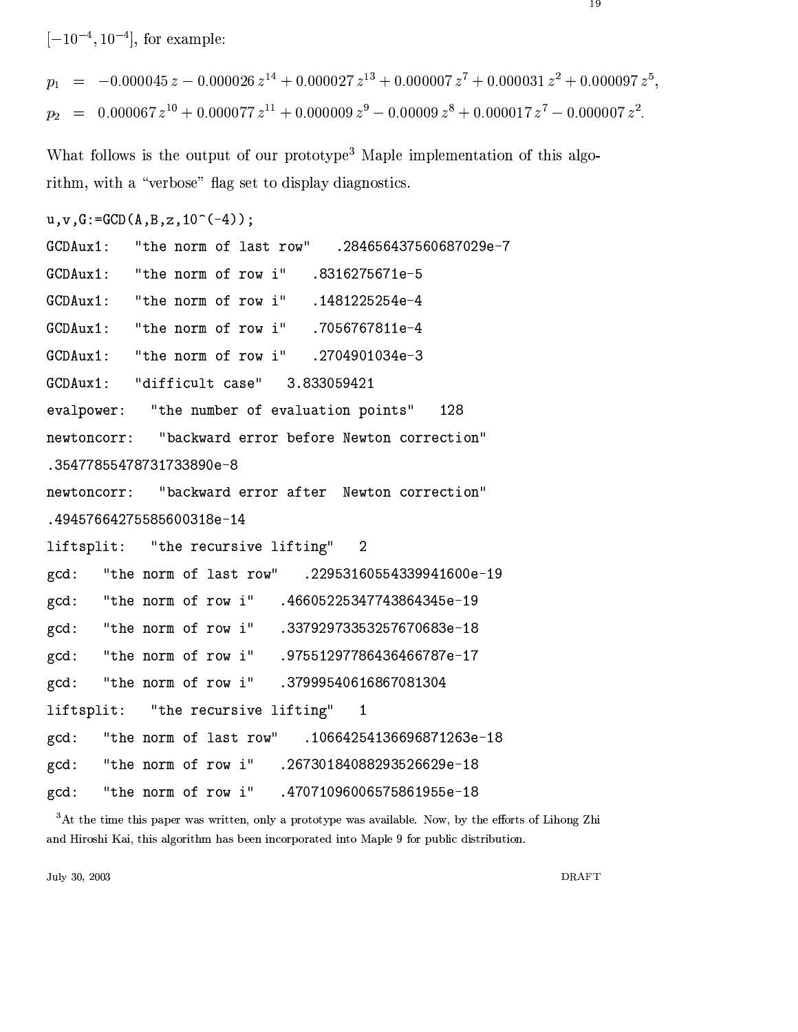$[-10^{-4}, 10^{-4}]$ , for example:

 $=$   $-0.000045 z - 0.000026 z^{14} + 0.000027 z^{13} + 0.000007 z^{7} + 0.000031 z^{2} + 0.000097 z^{5}$  $p_1$  $= 0.000067 z^{10} + 0.000077 z^{11} + 0.000009 z^9 - 0.00009 z^8 + 0.000017 z^7 - 0.000007 z^2$  $p_2$ 

What follows is the output of our prototype<sup>3</sup> Maple implementation of this algorithm, with a "verbose" flag set to display diagnostics.

```
u, v, G := GCD(A, B, z, 10^(-4));
```
 $GCDAux1$ : "the norm of last row" .284656437560687029e-7  $GCDAux1$ : "the norm of row i" .8316275671e-5 "the norm of row i"  $GCDAux1$ : .1481225254e-4 "the norm of row i"  $GCDAux1$ : .7056767811e-4 "the norm of row i"  $GCDAux1$ : .2704901034e-3 "difficult case"  $GCDAux1$ : 3.833059421 evalpower: "the number of evaluation points" 128 "backward error before Newton correction" newtoncorr: .35477855478731733890e-8 newtoncorr: "backward error after Newton correction" .49457664275585600318e-14 liftsplit: "the recursive lifting"  $\overline{2}$ "the norm of last row"  $gcd:$ .22953160554339941600e-19  $gcd:$ "the norm of row i" .46605225347743864345e-19 "the norm of row i"  $gcd:$ .33792973353257670683e-18 "the norm of row i" .97551297786436466787e-17  $gcd:$ "the norm of row i"  $gcd:$ .37999540616867081304 "the recursive lifting" liftsplit:  $\mathbf{1}$  $gcd:$ "the norm of last row" .10664254136696871263e-18 "the norm of row i" .26730184088293526629e-18  $gcd:$ "the norm of row i" .47071096006575861955e-18  $gcd:$ 

 ${}^{3}$ At the time this paper was written, only a prototype was available. Now, by the efforts of Lihong Zhi and Hiroshi Kai, this algorithm has been incorporated into Maple 9 for public distribution.

July 30, 2003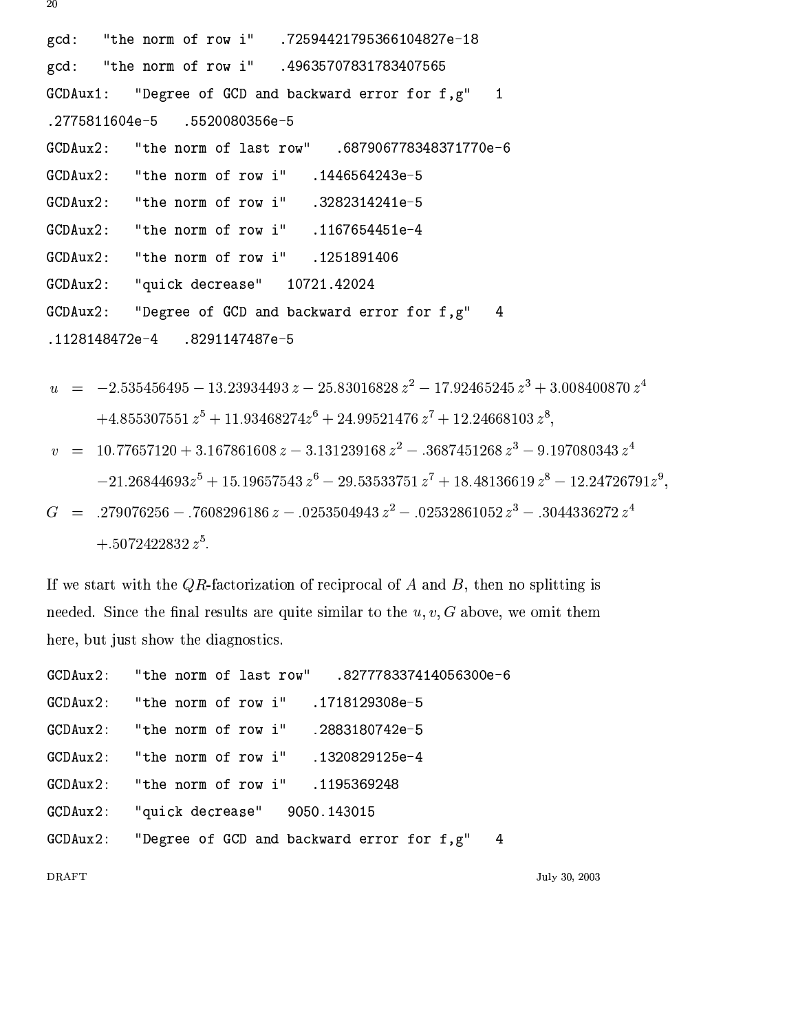.72594421795366104827e-18  $gcd:$ "the norm of row i" "the norm of row i" .49635707831783407565  $gcd:$ GCDAux1: "Degree of GCD and backward error for f,g"  $\mathbf{1}$ .2775811604e-5 .5520080356e-5 "the norm of last row" GCDAux2: .687906778348371770e-6  $GCDAux2$ : "the norm of row i" .1446564243e-5 "the norm of row i" .3282314241e-5  $GCDAux2$ : "the norm of row i" .1167654451e-4  $GCDAux2$ :  $GCDAux2$ : "the norm of row i" .1251891406 "quick decrease"  $GCDAux2$ : 10721.42024  $GCDAux2$ : "Degree of GCD and backward error for f,g"  $\overline{4}$ .1128148472e-4 .8291147487e-5

$$
u = -2.535456495 - 13.23934493 z - 25.83016828 z2 - 17.92465245 z3 + 3.008400870 z4
$$
  
+4.855307551 z<sup>5</sup> + 11.93468274 z<sup>6</sup> + 24.99521476 z<sup>7</sup> + 12.24668103 z<sup>8</sup>,

$$
v = 10.77657120 + 3.167861608 z - 3.131239168 z2 - .3687451268 z3 - 9.197080343 z4
$$
  
-21.26844693z<sup>5</sup> + 15.19657543 z<sup>6</sup> - 29.53533751 z<sup>7</sup> + 18.48136619 z<sup>8</sup> - 12.24726791z<sup>9</sup>,  

$$
C = 270076256 - 7608206196 z - 9252504042 z2 - 92529861052 z3 - 2044226272 z4
$$

 $\hspace{1.5cm} = \hspace{.3cm} .279076256 - .7608296186 \, z - .0253504943 \, z^2 - .02532861052 \, z^3 - .3044336272 \, z^4$ G  $+.5072422832 z^5.$ 

If we start with the QR-factorization of reciprocal of  $A$  and  $B$ , then no splitting is needed. Since the final results are quite similar to the  $u, v, G$  above, we omit them here, but just show the diagnostics.

| GCDAux2: "the norm of row i" .1718129308e-5           |  |
|-------------------------------------------------------|--|
| GCDAux2: "the norm of row i" .2883180742e-5           |  |
| GCDAux2: "the norm of row i" .1320829125e-4           |  |
| GCDAux2: "the norm of row i" .1195369248              |  |
| GCDAux2: "quick decrease" 9050.143015                 |  |
| GCDAux2: "Degree of GCD and backward error for f,g" 4 |  |

**DRAFT** 

July 30, 2003

20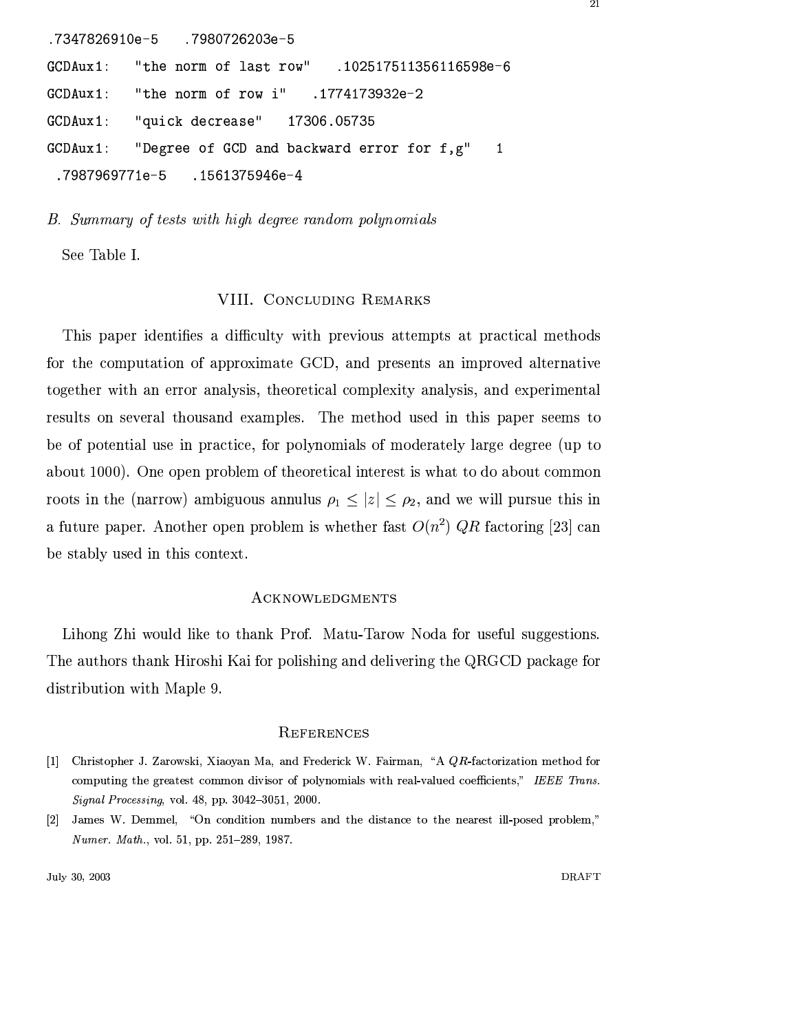```
.7347826910e-5
                   .7980726203e-5
            "the norm of last row"
GCDAux1:
                                       .102517511356116598e-6
GCDAux1:
            "the norm of row i"
                                    .1774173932e-2
GCDAux1:
            "quick decrease"
                                 17306.05735
GCDAux1:
            "Degree of GCD and backward error for f,g"
                                                             \mathbf{1}.7987969771e-5
                    .1561375946e-4
```
B. Summary of tests with high degree random polynomials

See Table I.

#### VIII. CONCLUDING REMARKS

This paper identifies a difficulty with previous attempts at practical methods for the computation of approximate GCD, and presents an improved alternative together with an error analysis, theoretical complexity analysis, and experimental results on several thousand examples. The method used in this paper seems to be of potential use in practice, for polynomials of moderately large degree (up to about 1000). One open problem of theoretical interest is what to do about common roots in the (narrow) ambiguous annulus  $\rho_1 \leq |z| \leq \rho_2$ , and we will pursue this in a future paper. Another open problem is whether fast  $O(n^2)$  QR factoring [23] can be stably used in this context.

#### ACKNOWLEDGMENTS

Lihong Zhi would like to thank Prof. Matu-Tarow Noda for useful suggestions. The authors thank Hiroshi Kai for polishing and delivering the QRGCD package for distribution with Maple 9.

#### **REFERENCES**

- [1] Christopher J. Zarowski, Xiaoyan Ma, and Frederick W. Fairman, "A QR-factorization method for computing the greatest common divisor of polynomials with real-valued coefficients," IEEE Trans. Signal Processing, vol. 48, pp. 3042-3051, 2000.
- [2] James W. Demmel, "On condition numbers and the distance to the nearest ill-posed problem," Numer. Math., vol. 51, pp. 251-289, 1987.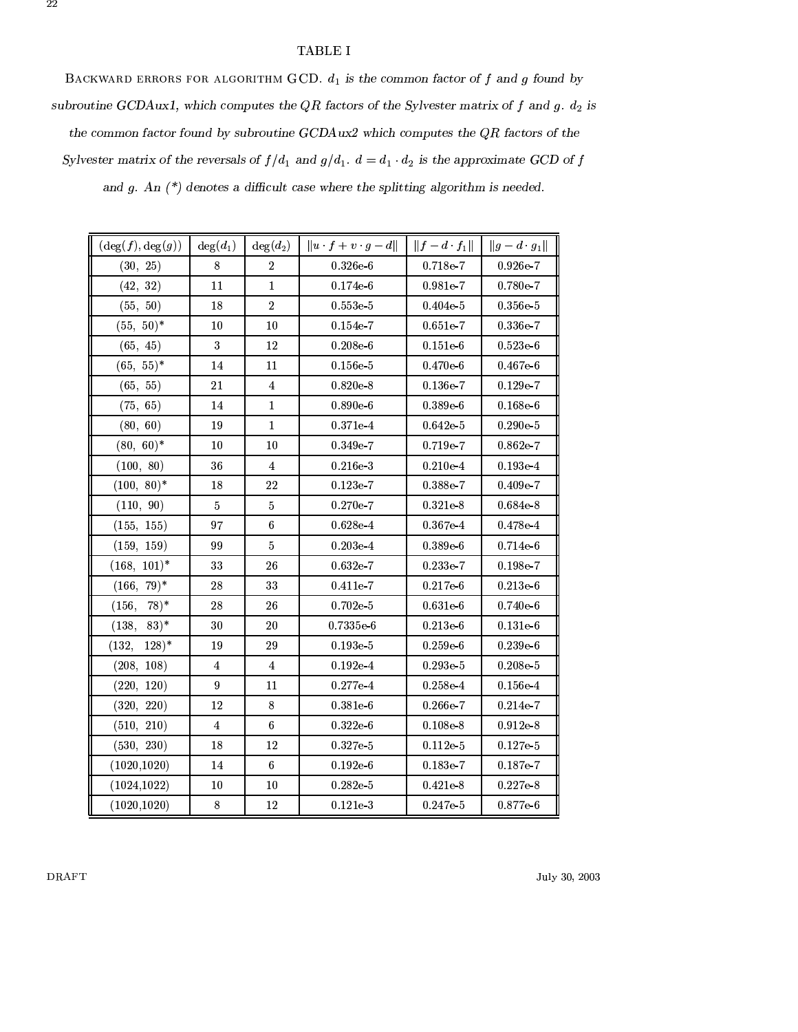#### TABLE I

BACKWARD ERRORS FOR ALGORITHM GCD.  $d_1$  is the common factor of f and g found by subroutine GCDAux1, which computes the QR factors of the Sylvester matrix of f and g.  $d_2$  is the common factor found by subroutine GCDAux2 which computes the  $QR$  factors of the Sylvester matrix of the reversals of  $f/d_1$  and  $g/d_1$ .  $d = d_1 \cdot d_2$  is the approximate GCD of f

and  $g$ . An  $(*)$  denotes a difficult case where the splitting algorithm is needed.

| $(\deg(f), \deg(g))$ | $deg(d_1)$  | $deg(d_2)$     | $\ u\cdot f+v\cdot g-d\ $ | $  f - d \cdot f_1  $ | $  g - d \cdot g_1  $ |
|----------------------|-------------|----------------|---------------------------|-----------------------|-----------------------|
| (30, 25)             | 8           | $\overline{2}$ | $0.326e-6$                | $0.718e-7$            | $0.926e-7$            |
| (42, 32)             | 11          | $\mathbf{1}$   | $0.174e-6$                | 0.981e-7              | 0.780e-7              |
| (55, 50)             | 18          | $\overline{2}$ | $0.553e-5$                | $0.404e-5$            | $0.356e-5$            |
| $(55, 50)^*$         | 10          | 10             | $0.154e-7$                | $0.651e-7$            | 0.336e-7              |
| (65, 45)             | $\mathbf 3$ | 12             | $0.208e-6$                | $0.151e-6$            | $0.523\mathrm{e}{-6}$ |
| $(65, 55)^*$         | 14          | 11             | $0.156e-5$                | 0.470e-6              | $0.467e-6$            |
| (65, 55)             | 21          | $\overline{4}$ | $0.820e-8$                | $0.136e-7$            | $0.129e-7$            |
| (75, 65)             | 14          | 1              | $0.890e-6$                | $0.389e-6$            | $0.168e-6$            |
| (80, 60)             | 19          | $\mathbf{1}$   | $0.371e-4$                | $0.642e-5$            | $0.290e-5$            |
| $(80, 60)^*$         | 10          | 10             | $0.349e-7$                | $0.719e-7$            | 0.862e.7              |
| (100, 80)            | 36          | $\overline{4}$ | $0.216e-3$                | $0.210e-4$            | $0.193e-4$            |
| $(100, 80)^*$        | 18          | 22             | $0.123e-7$                | 0.388e-7              | $0.409e-7$            |
| (110, 90)            | 5           | 5              | $0.270e-7$                | $0.321e-8$            | $0.684e-8$            |
| (155, 155)           | 97          | 6              | $0.628e-4$                | 0.367e-4              | $0.478e-4$            |
| (159, 159)           | 99          | 5.             | $0.203e-4$                | $0.389e-6$            | $0.714e-6$            |
| $(168, 101)^*$       | 33          | 26             | $0.632e-7$                | $0.233e-7$            | 0.198e-7              |
| $(166, 79)^*$        | 28          | 33             | $0.411e-7$                | $0.217e-6$            | $0.213e-6$            |
| $(156, 78)^*$        | 28          | 26             | $0.702e-5$                | $0.631e-6$            | $0.740e-6$            |
| $(138, 83)^*$        | 30          | 20             | $0.7335e-6$               | $0.213e-6$            | $0.131e-6$            |
| $128)$ *<br>(132,    | 19          | 29             | $0.193e-5$                | $0.259e-6$            | $0.239e-6$            |
| (208, 108)           | 4           | $\overline{4}$ | $0.192e-4$                | $0.293e-5$            | $0.208e-5$            |
| (220, 120)           | 9           | 11             | $0.277e-4$                | $0.258e-4$            | $0.156e-4$            |
| (320, 220)           | 12          | 8              | $0.381e-6$                | $0.266e-7$            | $0.214e-7$            |
| (510, 210)           | 4           | 6              | $0.322e\ 6$               | $0.108e-8$            | $0.912e-8$            |
| (530, 230)           | 18          | 12             | 0.327e-5                  | $0.112e-5$            | $0.127e\ 5$           |
| (1020, 1020)         | 14          | 6              | $0.192e-6$                | $0.183e-7$            | 0.187e-7              |
| (1024, 1022)         | 10          | 10             | $0.282e-5$                | $0.421e-8$            | $0.227e-8$            |
| (1020, 1020)         | 8           | 12             | $0.121e-3$                | $0.247e-5$            | 0.877e-6              |

#### 22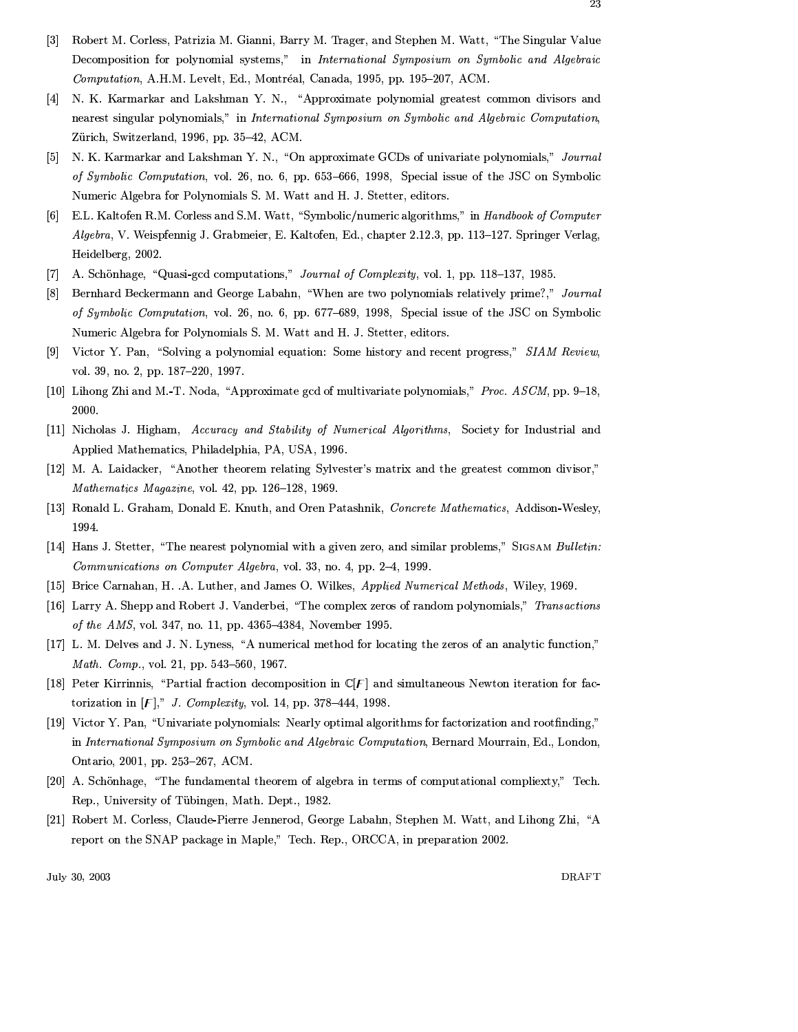- $[3]$ Robert M. Corless, Patrizia M. Gianni, Barry M. Trager, and Stephen M. Watt, "The Singular Value Decomposition for polynomial systems," in International Symposium on Symbolic and Algebraic Computation, A.H.M. Levelt, Ed., Montréal, Canada, 1995, pp. 195-207, ACM.
- [4] N. K. Karmarkar and Lakshman Y. N., "Approximate polynomial greatest common divisors and nearest singular polynomials," in International Symposium on Symbolic and Algebraic Computation, Zürich, Switzerland, 1996, pp. 35-42, ACM.
- [5] N. K. Karmarkar and Lakshman Y. N., "On approximate GCDs of univariate polynomials," Journal of Symbolic Computation, vol. 26, no. 6, pp. 653–666, 1998, Special issue of the JSC on Symbolic Numeric Algebra for Polynomials S. M. Watt and H. J. Stetter, editors.
- [6] E.L. Kaltofen R.M. Corless and S.M. Watt, "Symbolic/numeric algorithms," in Handbook of Computer Algebra, V. Weispfennig J. Grabmeier, E. Kaltofen, Ed., chapter 2.12.3, pp. 113-127. Springer Verlag, Heidelberg, 2002.
- [7] A. Schönhage, "Quasi-gcd computations," Journal of Complexity, vol. 1, pp. 118–137, 1985.
- [8] Bernhard Beckermann and George Labahn, "When are two polynomials relatively prime?," Journal of Symbolic Computation, vol. 26, no. 6, pp. 677–689, 1998, Special issue of the JSC on Symbolic Numeric Algebra for Polynomials S. M. Watt and H. J. Stetter, editors.
- [9] Victor Y. Pan, "Solving a polynomial equation: Some history and recent progress," SIAM Review, vol. 39, no. 2, pp. 187-220, 1997.
- [10] Lihong Zhi and M.-T. Noda, "Approximate gcd of multivariate polynomials," Proc. ASCM, pp. 9–18, 2000.
- [11] Nicholas J. Higham, Accuracy and Stability of Numerical Algorithms, Society for Industrial and Applied Mathematics, Philadelphia, PA, USA, 1996.
- [12] M. A. Laidacker, "Another theorem relating Sylvester's matrix and the greatest common divisor," Mathematics Magazine, vol. 42, pp. 126-128, 1969.
- [13] Ronald L. Graham, Donald E. Knuth, and Oren Patashnik, Concrete Mathematics, Addison-Wesley, 1994.
- [14] Hans J. Stetter, "The nearest polynomial with a given zero, and similar problems," SIGSAM Bulletin: Communications on Computer Algebra, vol. 33, no. 4, pp. 2-4, 1999.
- [15] Brice Carnahan, H. .A. Luther, and James O. Wilkes, Applied Numerical Methods, Wiley, 1969.
- [16] Larry A. Shepp and Robert J. Vanderbei, "The complex zeros of random polynomials," Transactions of the AMS, vol. 347, no. 11, pp. 4365-4384, November 1995.
- [17] L. M. Delves and J. N. Lyness, "A numerical method for locating the zeros of an analytic function," Math. Comp., vol. 21, pp. 543-560, 1967.
- [18] Peter Kirrinnis, "Partial fraction decomposition in  $\mathbb{C}[F]$  and simultaneous Newton iteration for factorization in  $[F]$ ," J. Complexity, vol. 14, pp. 378-444, 1998.
- [19] Victor Y. Pan, "Univariate polynomials: Nearly optimal algorithms for factorization and rootfinding," in International Symposium on Symbolic and Algebraic Computation, Bernard Mourrain, Ed., London, Ontario, 2001, pp. 253-267, ACM.
- [20] A. Schönhage, "The fundamental theorem of algebra in terms of computational compliexty," Tech. Rep., University of Tübingen, Math. Dept., 1982.
- [21] Robert M. Corless, Claude-Pierre Jennerod, George Labahn, Stephen M. Watt, and Lihong Zhi, "A report on the SNAP package in Maple," Tech. Rep., ORCCA, in preparation 2002.